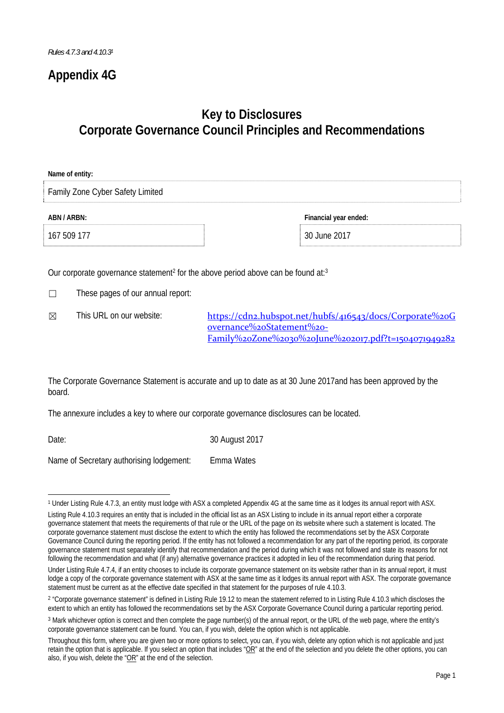## **Appendix 4G**

# **Key to Disclosures Corporate Governance Council Principles and Recommendations**

| Name of entity:                  |                       |
|----------------------------------|-----------------------|
| Family Zone Cyber Safety Limited |                       |
| ABN / ARBN:                      | Financial year ended: |
| 167 509 177                      | 30 June 2017          |
|                                  |                       |

Our corporate governance statement<sup>2</sup> for the above period above can be found at:<sup>3</sup>

- ☐ These pages of our annual report:
- 

 $✓$  This URL on our website: https://cdn2.hubspot.net/hubfs/416543/docs/Corporate%20G overnance%20Statement%20‐ Family%20Zone%2030%20June%202017.pdf?t=1504071949282

The Corporate Governance Statement is accurate and up to date as at 30 June 2017and has been approved by the board.

The annexure includes a key to where our corporate governance disclosures can be located.

Date: 30 August 2017

Name of Secretary authorising lodgement: Emma Wates

<sup>&</sup>lt;u> 1989 - Jan Samuel Barbara, político establecido de la provincia de la provincia de la provincia de la provinci</u> 1 Under Listing Rule 4.7.3, an entity must lodge with ASX a completed Appendix 4G at the same time as it lodges its annual report with ASX.

Listing Rule 4.10.3 requires an entity that is included in the official list as an ASX Listing to include in its annual report either a corporate governance statement that meets the requirements of that rule or the URL of the page on its website where such a statement is located. The corporate governance statement must disclose the extent to which the entity has followed the recommendations set by the ASX Corporate Governance Council during the reporting period. If the entity has not followed a recommendation for any part of the reporting period, its corporate governance statement must separately identify that recommendation and the period during which it was not followed and state its reasons for not following the recommendation and what (if any) alternative governance practices it adopted in lieu of the recommendation during that period.

Under Listing Rule 4.7.4, if an entity chooses to include its corporate governance statement on its website rather than in its annual report, it must lodge a copy of the corporate governance statement with ASX at the same time as it lodges its annual report with ASX. The corporate governance statement must be current as at the effective date specified in that statement for the purposes of rule 4.10.3.

<sup>&</sup>lt;sup>2</sup> "Corporate governance statement" is defined in Listing Rule 19.12 to mean the statement referred to in Listing Rule 4.10.3 which discloses the extent to which an entity has followed the recommendations set by the ASX Corporate Governance Council during a particular reporting period.

<sup>3</sup> Mark whichever option is correct and then complete the page number(s) of the annual report, or the URL of the web page, where the entity's corporate governance statement can be found. You can, if you wish, delete the option which is not applicable.

Throughout this form, where you are given two or more options to select, you can, if you wish, delete any option which is not applicable and just retain the option that is applicable. If you select an option that includes " $OR$ " at the end of the selection and you delete the other options, you can also, if you wish, delete the "OR" at the end of the selection.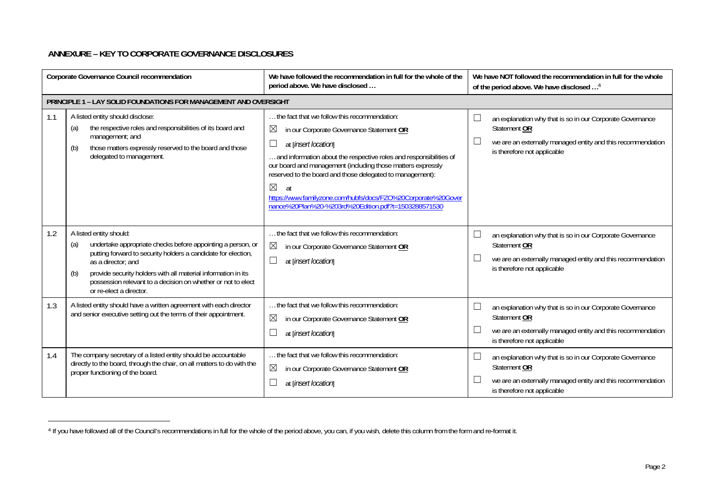### **ANNEXURE – KEY TO CORPORATE GOVERNANCE DISCLOSURES**

| Corporate Governance Council recommendation |                                                                                                                                                                                                                                                                                                                                                         | We have followed the recommendation in full for the whole of the<br>period above. We have disclosed                                                                                                                                                                                                                                                                                                                                                                                       | We have NOT followed the recommendation in full for the whole<br>of the period above. We have disclosed <sup>4</sup>                                                                                                            |
|---------------------------------------------|---------------------------------------------------------------------------------------------------------------------------------------------------------------------------------------------------------------------------------------------------------------------------------------------------------------------------------------------------------|-------------------------------------------------------------------------------------------------------------------------------------------------------------------------------------------------------------------------------------------------------------------------------------------------------------------------------------------------------------------------------------------------------------------------------------------------------------------------------------------|---------------------------------------------------------------------------------------------------------------------------------------------------------------------------------------------------------------------------------|
|                                             | PRINCIPLE 1 - LAY SOLID FOUNDATIONS FOR MANAGEMENT AND OVERSIGHT                                                                                                                                                                                                                                                                                        |                                                                                                                                                                                                                                                                                                                                                                                                                                                                                           |                                                                                                                                                                                                                                 |
| 1.1                                         | A listed entity should disclose:<br>the respective roles and responsibilities of its board and<br>(a)<br>management; and<br>those matters expressly reserved to the board and those<br>(b)<br>delegated to management.                                                                                                                                  | the fact that we follow this recommendation:<br>$\boxtimes$<br>in our Corporate Governance Statement OR<br>$\Box$<br>at [insert location]<br>and information about the respective roles and responsibilities of<br>our board and management (including those matters expressly<br>reserved to the board and those delegated to management):<br>$\boxtimes$<br>at<br>https://www.familyzone.com/hubfs/docs/FZO%20Corporate%20Gover<br>nance%20Plan%20-%203rd%20Edition.pdf?t=1503288571530 | ⊔<br>an explanation why that is so in our Corporate Governance<br>Statement OR<br>$\Box$<br>we are an externally managed entity and this recommendation<br>is therefore not applicable                                          |
| 1.2                                         | A listed entity should:<br>undertake appropriate checks before appointing a person, or<br>(a)<br>putting forward to security holders a candidate for election,<br>as a director: and<br>provide security holders with all material information in its<br>(b)<br>possession relevant to a decision on whether or not to elect<br>or re-elect a director. | the fact that we follow this recommendation:<br>$\boxtimes$<br>in our Corporate Governance Statement OR<br>at [insert location]                                                                                                                                                                                                                                                                                                                                                           | └<br>an explanation why that is so in our Corporate Governance<br>Statement OR<br>$\Box$<br>we are an externally managed entity and this recommendation<br>is therefore not applicable                                          |
| 1.3                                         | A listed entity should have a written agreement with each director<br>and senior executive setting out the terms of their appointment.                                                                                                                                                                                                                  | the fact that we follow this recommendation:<br>$\boxtimes$<br>in our Corporate Governance Statement OR<br>at [insert location]                                                                                                                                                                                                                                                                                                                                                           | ⊔<br>an explanation why that is so in our Corporate Governance<br>Statement OR<br>L<br>we are an externally managed entity and this recommendation<br>is therefore not applicable                                               |
| 1.4                                         | The company secretary of a listed entity should be accountable<br>directly to the board, through the chair, on all matters to do with the<br>proper functioning of the board.                                                                                                                                                                           | the fact that we follow this recommendation:<br>$\boxtimes$<br>in our Corporate Governance Statement OR<br>at [insert location]                                                                                                                                                                                                                                                                                                                                                           | $\overline{\phantom{a}}$<br>an explanation why that is so in our Corporate Governance<br>Statement OR<br>we are an externally managed entity and this recommendation<br>$\overline{\phantom{a}}$<br>is therefore not applicable |

<sup>&</sup>lt;sup>4</sup> If you have followed all of the Council's recommendations in full for the whole of the period above, you can, if you wish, delete this column from the form and re-format it.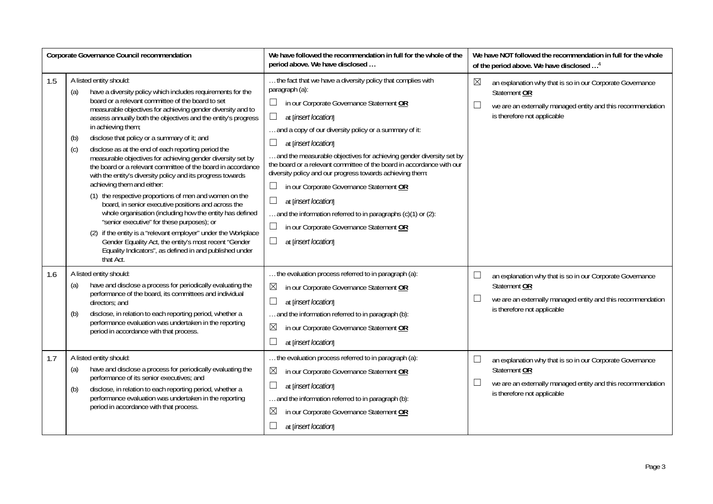| Corporate Governance Council recommendation |                                                                                                                                                                                                                                                                                                                                                                                                                                                                                                                                                                                                                                                                                                                                                                                                                                                                                                                                                                                                                                                                                         | We have followed the recommendation in full for the whole of the<br>period above. We have disclosed                                                                                                                                                                                                                                                                                                                                                                                                                                                                                                                                                                          | We have NOT followed the recommendation in full for the whole<br>of the period above. We have disclosed <sup>4</sup>                                                                             |
|---------------------------------------------|-----------------------------------------------------------------------------------------------------------------------------------------------------------------------------------------------------------------------------------------------------------------------------------------------------------------------------------------------------------------------------------------------------------------------------------------------------------------------------------------------------------------------------------------------------------------------------------------------------------------------------------------------------------------------------------------------------------------------------------------------------------------------------------------------------------------------------------------------------------------------------------------------------------------------------------------------------------------------------------------------------------------------------------------------------------------------------------------|------------------------------------------------------------------------------------------------------------------------------------------------------------------------------------------------------------------------------------------------------------------------------------------------------------------------------------------------------------------------------------------------------------------------------------------------------------------------------------------------------------------------------------------------------------------------------------------------------------------------------------------------------------------------------|--------------------------------------------------------------------------------------------------------------------------------------------------------------------------------------------------|
| 1.5                                         | A listed entity should:<br>have a diversity policy which includes requirements for the<br>(a)<br>board or a relevant committee of the board to set<br>measurable objectives for achieving gender diversity and to<br>assess annually both the objectives and the entity's progress<br>in achieving them;<br>disclose that policy or a summary of it; and<br>(b)<br>disclose as at the end of each reporting period the<br>(c)<br>measurable objectives for achieving gender diversity set by<br>the board or a relevant committee of the board in accordance<br>with the entity's diversity policy and its progress towards<br>achieving them and either:<br>(1) the respective proportions of men and women on the<br>board, in senior executive positions and across the<br>whole organisation (including how the entity has defined<br>"senior executive" for these purposes); or<br>(2) if the entity is a "relevant employer" under the Workplace<br>Gender Equality Act, the entity's most recent "Gender<br>Equality Indicators", as defined in and published under<br>that Act. | the fact that we have a diversity policy that complies with<br>paragraph (a):<br>in our Corporate Governance Statement OR<br>$\Box$<br>at [insert location]<br>and a copy of our diversity policy or a summary of it:<br>at [insert location]<br>and the measurable objectives for achieving gender diversity set by<br>the board or a relevant committee of the board in accordance with our<br>diversity policy and our progress towards achieving them:<br>in our Corporate Governance Statement OR<br>П<br>at [insert location]<br>and the information referred to in paragraphs (c)(1) or (2):<br>П<br>in our Corporate Governance Statement OR<br>at [insert location] | $\boxtimes$<br>an explanation why that is so in our Corporate Governance<br>Statement OR<br>$\Box$<br>we are an externally managed entity and this recommendation<br>is therefore not applicable |
| 1.6                                         | A listed entity should:<br>have and disclose a process for periodically evaluating the<br>(a)<br>performance of the board, its committees and individual<br>directors; and<br>disclose, in relation to each reporting period, whether a<br>(b)<br>performance evaluation was undertaken in the reporting<br>period in accordance with that process.                                                                                                                                                                                                                                                                                                                                                                                                                                                                                                                                                                                                                                                                                                                                     | the evaluation process referred to in paragraph (a):<br>$\boxtimes$<br>in our Corporate Governance Statement OR<br>at [insert location]<br>and the information referred to in paragraph (b):<br>⊠<br>in our Corporate Governance Statement OR<br>at [insert location]                                                                                                                                                                                                                                                                                                                                                                                                        | $\Box$<br>an explanation why that is so in our Corporate Governance<br>Statement OR<br>$\Box$<br>we are an externally managed entity and this recommendation<br>is therefore not applicable      |
| 1.7                                         | A listed entity should:<br>have and disclose a process for periodically evaluating the<br>(a)<br>performance of its senior executives; and<br>disclose, in relation to each reporting period, whether a<br>(b)<br>performance evaluation was undertaken in the reporting<br>period in accordance with that process.                                                                                                                                                                                                                                                                                                                                                                                                                                                                                                                                                                                                                                                                                                                                                                     | the evaluation process referred to in paragraph (a):<br>⊠<br>in our Corporate Governance Statement OR<br>at [insert location]<br>and the information referred to in paragraph (b):<br>$\boxtimes$<br>in our Corporate Governance Statement OR<br>at [insert location]                                                                                                                                                                                                                                                                                                                                                                                                        | $\Box$<br>an explanation why that is so in our Corporate Governance<br>Statement OR<br>$\Box$<br>we are an externally managed entity and this recommendation<br>is therefore not applicable      |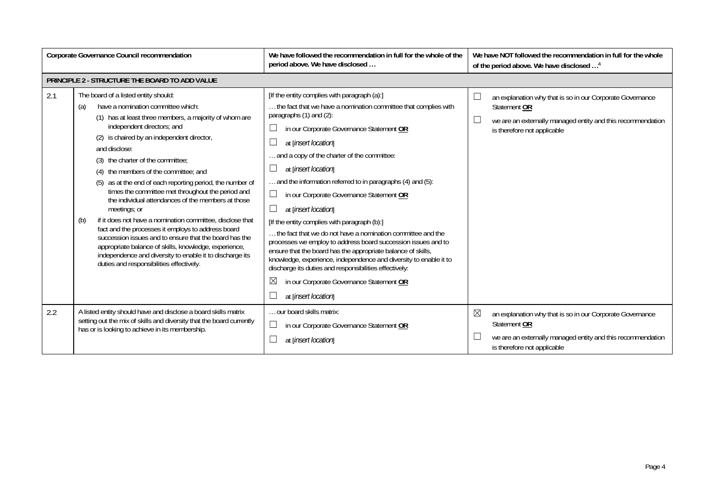| Corporate Governance Council recommendation |                                                                                                                                                                                                                                                                                                                                                                                                                                                                                                                                                                                                                                                                                                                                                                                                                                                                     | We have followed the recommendation in full for the whole of the<br>period above. We have disclosed                                                                                                                                                                                                                                                                                                                                                                                                                                                                                                                                                                                                                                                                                                                                                                                       | We have NOT followed the recommendation in full for the whole<br>of the period above. We have disclosed <sup>4</sup>                                                         |
|---------------------------------------------|---------------------------------------------------------------------------------------------------------------------------------------------------------------------------------------------------------------------------------------------------------------------------------------------------------------------------------------------------------------------------------------------------------------------------------------------------------------------------------------------------------------------------------------------------------------------------------------------------------------------------------------------------------------------------------------------------------------------------------------------------------------------------------------------------------------------------------------------------------------------|-------------------------------------------------------------------------------------------------------------------------------------------------------------------------------------------------------------------------------------------------------------------------------------------------------------------------------------------------------------------------------------------------------------------------------------------------------------------------------------------------------------------------------------------------------------------------------------------------------------------------------------------------------------------------------------------------------------------------------------------------------------------------------------------------------------------------------------------------------------------------------------------|------------------------------------------------------------------------------------------------------------------------------------------------------------------------------|
|                                             | PRINCIPLE 2 - STRUCTURE THE BOARD TO ADD VALUE                                                                                                                                                                                                                                                                                                                                                                                                                                                                                                                                                                                                                                                                                                                                                                                                                      |                                                                                                                                                                                                                                                                                                                                                                                                                                                                                                                                                                                                                                                                                                                                                                                                                                                                                           |                                                                                                                                                                              |
| 2.1                                         | The board of a listed entity should:<br>have a nomination committee which:<br>(a)<br>(1) has at least three members, a majority of whom are<br>independent directors; and<br>(2) is chaired by an independent director,<br>and disclose:<br>(3) the charter of the committee;<br>(4) the members of the committee: and<br>(5) as at the end of each reporting period, the number of<br>times the committee met throughout the period and<br>the individual attendances of the members at those<br>meetings; or<br>if it does not have a nomination committee, disclose that<br>(b)<br>fact and the processes it employs to address board<br>succession issues and to ensure that the board has the<br>appropriate balance of skills, knowledge, experience,<br>independence and diversity to enable it to discharge its<br>duties and responsibilities effectively. | [If the entity complies with paragraph (a):]<br>the fact that we have a nomination committee that complies with<br>paragraphs (1) and (2):<br>in our Corporate Governance Statement OR<br>at [insert location]<br>and a copy of the charter of the committee:<br>at [insert location]<br>and the information referred to in paragraphs (4) and (5):<br>in our Corporate Governance Statement OR<br>at [insert location]<br>[If the entity complies with paragraph (b):]<br>the fact that we do not have a nomination committee and the<br>processes we employ to address board succession issues and to<br>ensure that the board has the appropriate balance of skills,<br>knowledge, experience, independence and diversity to enable it to<br>discharge its duties and responsibilities effectively:<br>$\boxtimes$<br>in our Corporate Governance Statement OR<br>at [insert location] | an explanation why that is so in our Corporate Governance<br>Statement OR<br>we are an externally managed entity and this recommendation<br>is therefore not applicable      |
| 2.2                                         | A listed entity should have and disclose a board skills matrix<br>setting out the mix of skills and diversity that the board currently<br>has or is looking to achieve in its membership.                                                                                                                                                                                                                                                                                                                                                                                                                                                                                                                                                                                                                                                                           | our board skills matrix:<br>$\Box$<br>in our Corporate Governance Statement OR<br>at [insert location]                                                                                                                                                                                                                                                                                                                                                                                                                                                                                                                                                                                                                                                                                                                                                                                    | ⊠<br>an explanation why that is so in our Corporate Governance<br>Statement OR<br>we are an externally managed entity and this recommendation<br>is therefore not applicable |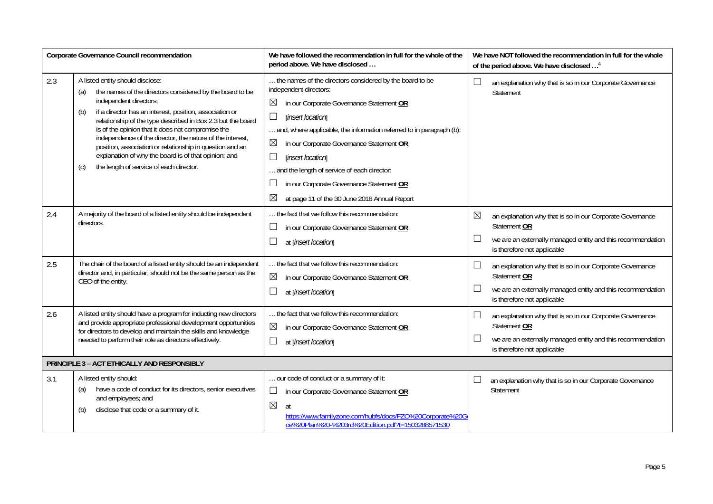| Corporate Governance Council recommendation |                                                                                                                                                                                                                                                                                                                                                                                                                                                                                                                                                        | We have followed the recommendation in full for the whole of the<br>period above. We have disclosed                                                                                                                                                                                                                                                                                                                                                                                  |        | We have NOT followed the recommendation in full for the whole<br>of the period above. We have disclosed <sup>4</sup>                                                    |
|---------------------------------------------|--------------------------------------------------------------------------------------------------------------------------------------------------------------------------------------------------------------------------------------------------------------------------------------------------------------------------------------------------------------------------------------------------------------------------------------------------------------------------------------------------------------------------------------------------------|--------------------------------------------------------------------------------------------------------------------------------------------------------------------------------------------------------------------------------------------------------------------------------------------------------------------------------------------------------------------------------------------------------------------------------------------------------------------------------------|--------|-------------------------------------------------------------------------------------------------------------------------------------------------------------------------|
| 2.3                                         | A listed entity should disclose:<br>the names of the directors considered by the board to be<br>(a)<br>independent directors;<br>if a director has an interest, position, association or<br>(b)<br>relationship of the type described in Box 2.3 but the board<br>is of the opinion that it does not compromise the<br>independence of the director, the nature of the interest,<br>position, association or relationship in question and an<br>explanation of why the board is of that opinion; and<br>the length of service of each director.<br>(C) | the names of the directors considered by the board to be<br>independent directors:<br>in our Corporate Governance Statement OR<br>$\boxtimes$<br>$\Box$<br>[insert location]<br>and, where applicable, the information referred to in paragraph (b):<br>$\boxtimes$<br>in our Corporate Governance Statement OR<br>[insert location]<br>and the length of service of each director:<br>in our Corporate Governance Statement OR<br>⊠<br>at page 11 of the 30 June 2016 Annual Report | $\Box$ | an explanation why that is so in our Corporate Governance<br>Statement                                                                                                  |
| 2.4                                         | A majority of the board of a listed entity should be independent<br>directors.                                                                                                                                                                                                                                                                                                                                                                                                                                                                         | the fact that we follow this recommendation:<br>in our Corporate Governance Statement OR<br>$\Box$<br>at [insert location]                                                                                                                                                                                                                                                                                                                                                           | ⊠      | an explanation why that is so in our Corporate Governance<br>Statement OR<br>we are an externally managed entity and this recommendation<br>is therefore not applicable |
| 2.5                                         | The chair of the board of a listed entity should be an independent<br>director and, in particular, should not be the same person as the<br>CEO of the entity.                                                                                                                                                                                                                                                                                                                                                                                          | the fact that we follow this recommendation:<br>⊠<br>in our Corporate Governance Statement OR<br>at [insert location]                                                                                                                                                                                                                                                                                                                                                                | $\Box$ | an explanation why that is so in our Corporate Governance<br>Statement OR<br>we are an externally managed entity and this recommendation<br>is therefore not applicable |
| 2.6                                         | A listed entity should have a program for inducting new directors<br>and provide appropriate professional development opportunities<br>for directors to develop and maintain the skills and knowledge<br>needed to perform their role as directors effectively.                                                                                                                                                                                                                                                                                        | the fact that we follow this recommendation:<br>$\boxtimes$<br>in our Corporate Governance Statement OR<br>at [insert location]                                                                                                                                                                                                                                                                                                                                                      |        | an explanation why that is so in our Corporate Governance<br>Statement OR<br>we are an externally managed entity and this recommendation<br>is therefore not applicable |
|                                             | PRINCIPLE 3 - ACT ETHICALLY AND RESPONSIBLY                                                                                                                                                                                                                                                                                                                                                                                                                                                                                                            |                                                                                                                                                                                                                                                                                                                                                                                                                                                                                      |        |                                                                                                                                                                         |
| 3.1                                         | A listed entity should:<br>have a code of conduct for its directors, senior executives<br>(a)<br>and employees; and<br>disclose that code or a summary of it.<br>(b)                                                                                                                                                                                                                                                                                                                                                                                   | our code of conduct or a summary of it:<br>⊔<br>in our Corporate Governance Statement OR<br>$\boxtimes$<br>at<br>https://www.familyzone.com/hubfs/docs/FZO%20Corporate%20G<br>ce%20Plan%20-%203rd%20Edition.pdf?t=1503288571530                                                                                                                                                                                                                                                      |        | an explanation why that is so in our Corporate Governance<br>Statement                                                                                                  |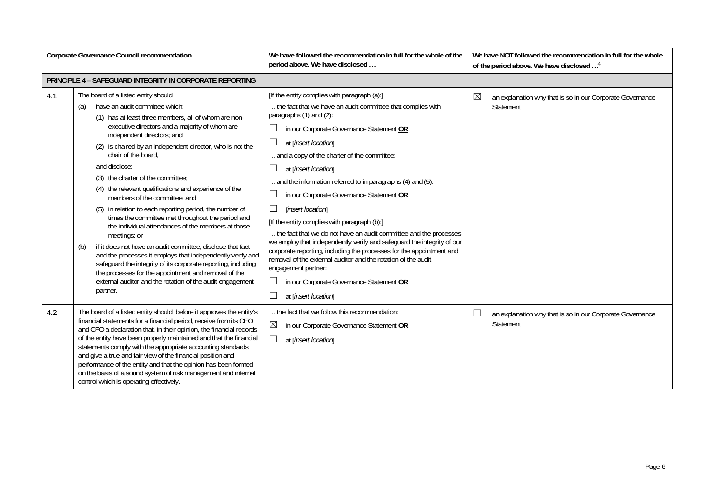| Corporate Governance Council recommendation |                                                                                                                                                                                                                                                                                                                                                                                                                                                                                                                                                                                                                                                                                                                                                                                                                                                                                                                                                                                      | We have followed the recommendation in full for the whole of the<br>period above. We have disclosed                                                                                                                                                                                                                                                                                                                                                                                                                                                                                                                                                                                                                                                                                                                                                            | We have NOT followed the recommendation in full for the whole<br>of the period above. We have disclosed <sup>4</sup> |  |
|---------------------------------------------|--------------------------------------------------------------------------------------------------------------------------------------------------------------------------------------------------------------------------------------------------------------------------------------------------------------------------------------------------------------------------------------------------------------------------------------------------------------------------------------------------------------------------------------------------------------------------------------------------------------------------------------------------------------------------------------------------------------------------------------------------------------------------------------------------------------------------------------------------------------------------------------------------------------------------------------------------------------------------------------|----------------------------------------------------------------------------------------------------------------------------------------------------------------------------------------------------------------------------------------------------------------------------------------------------------------------------------------------------------------------------------------------------------------------------------------------------------------------------------------------------------------------------------------------------------------------------------------------------------------------------------------------------------------------------------------------------------------------------------------------------------------------------------------------------------------------------------------------------------------|----------------------------------------------------------------------------------------------------------------------|--|
|                                             | PRINCIPLE 4 - SAFEGUARD INTEGRITY IN CORPORATE REPORTING                                                                                                                                                                                                                                                                                                                                                                                                                                                                                                                                                                                                                                                                                                                                                                                                                                                                                                                             |                                                                                                                                                                                                                                                                                                                                                                                                                                                                                                                                                                                                                                                                                                                                                                                                                                                                |                                                                                                                      |  |
| 4.1                                         | The board of a listed entity should:<br>have an audit committee which:<br>(a)<br>(1) has at least three members, all of whom are non-<br>executive directors and a majority of whom are<br>independent directors; and<br>(2) is chaired by an independent director, who is not the<br>chair of the board,<br>and disclose:<br>(3) the charter of the committee;<br>(4) the relevant qualifications and experience of the<br>members of the committee; and<br>(5) in relation to each reporting period, the number of<br>times the committee met throughout the period and<br>the individual attendances of the members at those<br>meetings; or<br>if it does not have an audit committee, disclose that fact<br>(b)<br>and the processes it employs that independently verify and<br>safeguard the integrity of its corporate reporting, including<br>the processes for the appointment and removal of the<br>external auditor and the rotation of the audit engagement<br>partner. | [If the entity complies with paragraph (a):]<br>the fact that we have an audit committee that complies with<br>paragraphs (1) and (2):<br>in our Corporate Governance Statement OR<br>at [insert location]<br>and a copy of the charter of the committee:<br>at [insert location]<br>and the information referred to in paragraphs (4) and (5):<br>in our Corporate Governance Statement OR<br>[insert location]<br>[If the entity complies with paragraph (b):]<br>the fact that we do not have an audit committee and the processes<br>we employ that independently verify and safeguard the integrity of our<br>corporate reporting, including the processes for the appointment and<br>removal of the external auditor and the rotation of the audit<br>engagement partner:<br>in our Corporate Governance Statement OR<br>$\perp$<br>at [insert location] | $\boxtimes$<br>an explanation why that is so in our Corporate Governance<br>Statement                                |  |
| 4.2                                         | The board of a listed entity should, before it approves the entity's<br>financial statements for a financial period, receive from its CEO<br>and CFO a declaration that, in their opinion, the financial records<br>of the entity have been properly maintained and that the financial<br>statements comply with the appropriate accounting standards<br>and give a true and fair view of the financial position and<br>performance of the entity and that the opinion has been formed<br>on the basis of a sound system of risk management and internal<br>control which is operating effectively.                                                                                                                                                                                                                                                                                                                                                                                  | the fact that we follow this recommendation:<br>$\boxtimes$<br>in our Corporate Governance Statement OR<br>at [insert location]                                                                                                                                                                                                                                                                                                                                                                                                                                                                                                                                                                                                                                                                                                                                | an explanation why that is so in our Corporate Governance<br>L<br>Statement                                          |  |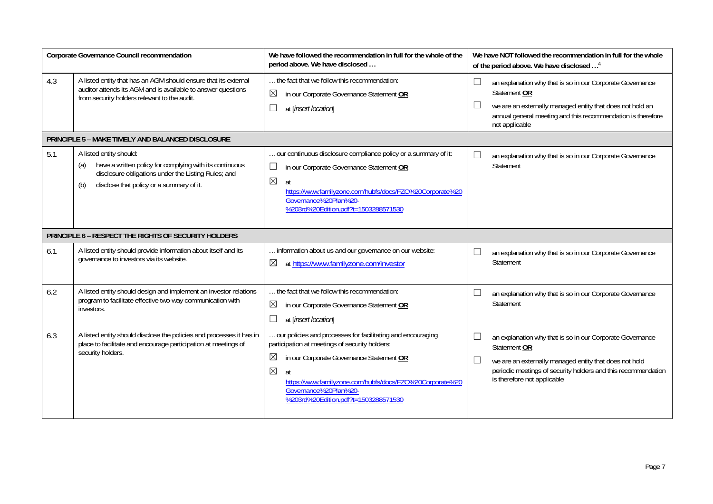| Corporate Governance Council recommendation |                                                                                                                                                                                                     | We have followed the recommendation in full for the whole of the<br>period above. We have disclosed                                                                                                                                                                                                                        | We have NOT followed the recommendation in full for the whole<br>of the period above. We have disclosed <sup>4</sup>                                                                                                                                    |
|---------------------------------------------|-----------------------------------------------------------------------------------------------------------------------------------------------------------------------------------------------------|----------------------------------------------------------------------------------------------------------------------------------------------------------------------------------------------------------------------------------------------------------------------------------------------------------------------------|---------------------------------------------------------------------------------------------------------------------------------------------------------------------------------------------------------------------------------------------------------|
| 4.3                                         | A listed entity that has an AGM should ensure that its external<br>auditor attends its AGM and is available to answer questions<br>from security holders relevant to the audit.                     | the fact that we follow this recommendation:<br>⊠<br>in our Corporate Governance Statement OR<br>$\Box$<br>at [insert location]                                                                                                                                                                                            | $\Box$<br>an explanation why that is so in our Corporate Governance<br>Statement OR<br>we are an externally managed entity that does not hold an<br>⊔<br>annual general meeting and this recommendation is therefore<br>not applicable                  |
|                                             | PRINCIPLE 5 - MAKE TIMELY AND BALANCED DISCLOSURE                                                                                                                                                   |                                                                                                                                                                                                                                                                                                                            |                                                                                                                                                                                                                                                         |
| 5.1                                         | A listed entity should:<br>have a written policy for complying with its continuous<br>(a)<br>disclosure obligations under the Listing Rules; and<br>disclose that policy or a summary of it.<br>(b) | our continuous disclosure compliance policy or a summary of it:<br>$\Box$<br>in our Corporate Governance Statement OR<br>$\boxtimes$<br>at<br>https://www.familyzone.com/hubfs/docs/FZO%20Corporate%20<br>Governance%20Plan%20-<br>%203rd%20Edition.pdf?t=1503288571530                                                    | ⊔<br>an explanation why that is so in our Corporate Governance<br>Statement                                                                                                                                                                             |
|                                             | PRINCIPLE 6 - RESPECT THE RIGHTS OF SECURITY HOLDERS                                                                                                                                                |                                                                                                                                                                                                                                                                                                                            |                                                                                                                                                                                                                                                         |
| 6.1                                         | A listed entity should provide information about itself and its<br>governance to investors via its website.                                                                                         | information about us and our governance on our website:<br>at https://www.familyzone.com/investor<br>⊠                                                                                                                                                                                                                     | ⊔<br>an explanation why that is so in our Corporate Governance<br>Statement                                                                                                                                                                             |
| 6.2                                         | A listed entity should design and implement an investor relations<br>program to facilitate effective two-way communication with<br>investors.                                                       | the fact that we follow this recommendation:<br>$\boxtimes$<br>in our Corporate Governance Statement OR<br>$\Box$<br>at [insert location]                                                                                                                                                                                  | an explanation why that is so in our Corporate Governance<br>└<br>Statement                                                                                                                                                                             |
| 6.3                                         | A listed entity should disclose the policies and processes it has in<br>place to facilitate and encourage participation at meetings of<br>security holders.                                         | our policies and processes for facilitating and encouraging<br>participation at meetings of security holders:<br>$\boxtimes$<br>in our Corporate Governance Statement OR<br>$\boxtimes$<br>at<br>https://www.familyzone.com/hubfs/docs/FZO%20Corporate%20<br>Governance%20Plan%20-<br>%203rd%20Edition.pdf?t=1503288571530 | $\Box$<br>an explanation why that is so in our Corporate Governance<br>Statement OR<br>$\Box$<br>we are an externally managed entity that does not hold<br>periodic meetings of security holders and this recommendation<br>is therefore not applicable |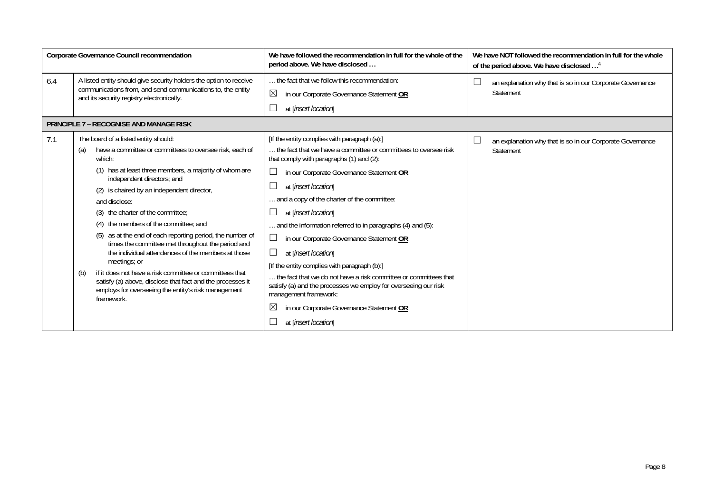| Corporate Governance Council recommendation |                                                                                                                                                                                                                                                                                                                                                                                                                                                                                                                                                                                                                                                                                                                                                          | We have followed the recommendation in full for the whole of the<br>period above. We have disclosed                                                                                                                                                                                                                                                                                                                                                                                                                                                                                                                                                                                                                                                           | We have NOT followed the recommendation in full for the whole<br>of the period above. We have disclosed <sup>4</sup> |
|---------------------------------------------|----------------------------------------------------------------------------------------------------------------------------------------------------------------------------------------------------------------------------------------------------------------------------------------------------------------------------------------------------------------------------------------------------------------------------------------------------------------------------------------------------------------------------------------------------------------------------------------------------------------------------------------------------------------------------------------------------------------------------------------------------------|---------------------------------------------------------------------------------------------------------------------------------------------------------------------------------------------------------------------------------------------------------------------------------------------------------------------------------------------------------------------------------------------------------------------------------------------------------------------------------------------------------------------------------------------------------------------------------------------------------------------------------------------------------------------------------------------------------------------------------------------------------------|----------------------------------------------------------------------------------------------------------------------|
| 6.4                                         | A listed entity should give security holders the option to receive<br>communications from, and send communications to, the entity<br>and its security registry electronically.                                                                                                                                                                                                                                                                                                                                                                                                                                                                                                                                                                           | the fact that we follow this recommendation:<br>$\boxtimes$<br>in our Corporate Governance Statement OR<br>at [insert location]                                                                                                                                                                                                                                                                                                                                                                                                                                                                                                                                                                                                                               | an explanation why that is so in our Corporate Governance<br>Statement                                               |
|                                             | <b>PRINCIPLE 7 - RECOGNISE AND MANAGE RISK</b>                                                                                                                                                                                                                                                                                                                                                                                                                                                                                                                                                                                                                                                                                                           |                                                                                                                                                                                                                                                                                                                                                                                                                                                                                                                                                                                                                                                                                                                                                               |                                                                                                                      |
| 7.1                                         | The board of a listed entity should:<br>have a committee or committees to oversee risk, each of<br>(a)<br>which:<br>(1) has at least three members, a majority of whom are<br>independent directors; and<br>(2) is chaired by an independent director,<br>and disclose:<br>(3) the charter of the committee;<br>the members of the committee: and<br>(4)<br>as at the end of each reporting period, the number of<br>(5)<br>times the committee met throughout the period and<br>the individual attendances of the members at those<br>meetings; or<br>if it does not have a risk committee or committees that<br>(b)<br>satisfy (a) above, disclose that fact and the processes it<br>employs for overseeing the entity's risk management<br>framework. | [If the entity complies with paragraph (a):]<br>the fact that we have a committee or committees to oversee risk<br>that comply with paragraphs (1) and (2):<br>in our Corporate Governance Statement OR<br>at [insert location]<br>and a copy of the charter of the committee:<br>at [insert location]<br>and the information referred to in paragraphs (4) and (5):<br>in our Corporate Governance Statement OR<br>$\vert \ \ \vert$<br>at [insert location]<br>[If the entity complies with paragraph (b):]<br>the fact that we do not have a risk committee or committees that<br>satisfy (a) and the processes we employ for overseeing our risk<br>management framework:<br>$\times$<br>in our Corporate Governance Statement OR<br>at [insert location] | an explanation why that is so in our Corporate Governance<br>Statement                                               |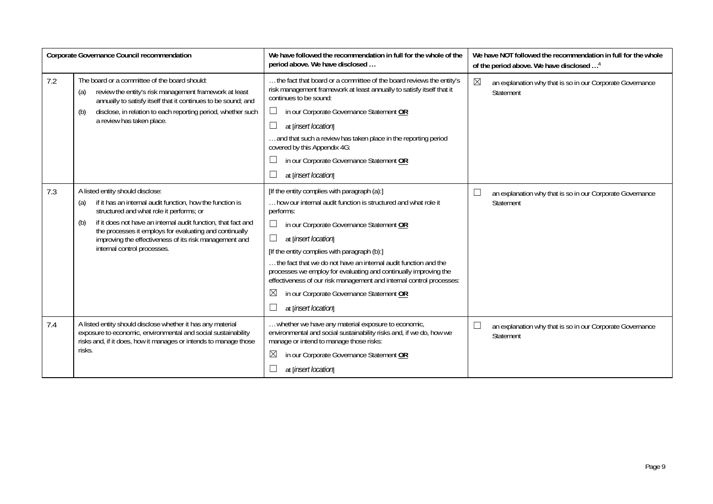| Corporate Governance Council recommendation |                                                                                                                                                                                                                                                                                                                                                                              | We have followed the recommendation in full for the whole of the<br>period above. We have disclosed                                                                                                                                                                                                                                                                                                                                                                                                                                             | We have NOT followed the recommendation in full for the whole<br>of the period above. We have disclosed <sup>4</sup> |
|---------------------------------------------|------------------------------------------------------------------------------------------------------------------------------------------------------------------------------------------------------------------------------------------------------------------------------------------------------------------------------------------------------------------------------|-------------------------------------------------------------------------------------------------------------------------------------------------------------------------------------------------------------------------------------------------------------------------------------------------------------------------------------------------------------------------------------------------------------------------------------------------------------------------------------------------------------------------------------------------|----------------------------------------------------------------------------------------------------------------------|
| 7.2                                         | The board or a committee of the board should:<br>review the entity's risk management framework at least<br>(a)<br>annually to satisfy itself that it continues to be sound; and<br>disclose, in relation to each reporting period, whether such<br>(b)<br>a review has taken place.                                                                                          | the fact that board or a committee of the board reviews the entity's<br>risk management framework at least annually to satisfy itself that it<br>continues to be sound:<br>in our Corporate Governance Statement OR<br>$\Box$<br>at [insert location]<br>and that such a review has taken place in the reporting period<br>covered by this Appendix 4G:<br>in our Corporate Governance Statement OR<br>at [insert location]                                                                                                                     | $\boxtimes$<br>an explanation why that is so in our Corporate Governance<br>Statement                                |
| 7.3                                         | A listed entity should disclose:<br>if it has an internal audit function, how the function is<br>(a)<br>structured and what role it performs; or<br>if it does not have an internal audit function, that fact and<br>(b)<br>the processes it employs for evaluating and continually<br>improving the effectiveness of its risk management and<br>internal control processes. | [If the entity complies with paragraph (a):]<br>how our internal audit function is structured and what role it<br>performs:<br>in our Corporate Governance Statement OR<br>at [insert location]<br>[If the entity complies with paragraph (b):]<br>the fact that we do not have an internal audit function and the<br>processes we employ for evaluating and continually improving the<br>effectiveness of our risk management and internal control processes:<br>in our Corporate Governance Statement OR<br>$\bowtie$<br>at [insert location] | $\Box$<br>an explanation why that is so in our Corporate Governance<br>Statement                                     |
| 7.4                                         | A listed entity should disclose whether it has any material<br>exposure to economic, environmental and social sustainability<br>risks and, if it does, how it manages or intends to manage those<br>risks.                                                                                                                                                                   | whether we have any material exposure to economic,<br>environmental and social sustainability risks and, if we do, how we<br>manage or intend to manage those risks:<br>$\boxtimes$<br>in our Corporate Governance Statement OR<br>at [insert location]                                                                                                                                                                                                                                                                                         | $\Box$<br>an explanation why that is so in our Corporate Governance<br>Statement                                     |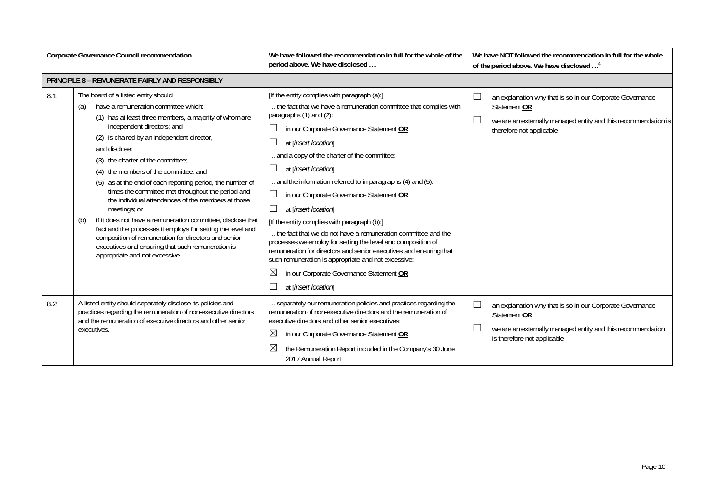| Corporate Governance Council recommendation |                                                                                                                                                                                                                                                                                                                                                                                                                                                                                                                                                                                                                                                                                                                                                                                                      | We have followed the recommendation in full for the whole of the<br>period above. We have disclosed                                                                                                                                                                                                                                                                                                                                                                                                                                                                                                                                                                                                                                                                                                                                                                          | We have NOT followed the recommendation in full for the whole<br>of the period above. We have disclosed <sup>4</sup>                                                                        |  |
|---------------------------------------------|------------------------------------------------------------------------------------------------------------------------------------------------------------------------------------------------------------------------------------------------------------------------------------------------------------------------------------------------------------------------------------------------------------------------------------------------------------------------------------------------------------------------------------------------------------------------------------------------------------------------------------------------------------------------------------------------------------------------------------------------------------------------------------------------------|------------------------------------------------------------------------------------------------------------------------------------------------------------------------------------------------------------------------------------------------------------------------------------------------------------------------------------------------------------------------------------------------------------------------------------------------------------------------------------------------------------------------------------------------------------------------------------------------------------------------------------------------------------------------------------------------------------------------------------------------------------------------------------------------------------------------------------------------------------------------------|---------------------------------------------------------------------------------------------------------------------------------------------------------------------------------------------|--|
|                                             | <b>PRINCIPLE 8 - REMUNERATE FAIRLY AND RESPONSIBLY</b>                                                                                                                                                                                                                                                                                                                                                                                                                                                                                                                                                                                                                                                                                                                                               |                                                                                                                                                                                                                                                                                                                                                                                                                                                                                                                                                                                                                                                                                                                                                                                                                                                                              |                                                                                                                                                                                             |  |
| 8.1                                         | The board of a listed entity should:<br>have a remuneration committee which:<br>(a)<br>(1) has at least three members, a majority of whom are<br>independent directors; and<br>(2) is chaired by an independent director,<br>and disclose:<br>(3) the charter of the committee;<br>(4) the members of the committee; and<br>(5) as at the end of each reporting period, the number of<br>times the committee met throughout the period and<br>the individual attendances of the members at those<br>meetings; or<br>if it does not have a remuneration committee, disclose that<br>(b)<br>fact and the processes it employs for setting the level and<br>composition of remuneration for directors and senior<br>executives and ensuring that such remuneration is<br>appropriate and not excessive. | [If the entity complies with paragraph (a):]<br>the fact that we have a remuneration committee that complies with<br>paragraphs (1) and (2):<br>$\Box$<br>in our Corporate Governance Statement OR<br>$\Box$<br>at [insert location]<br>and a copy of the charter of the committee:<br>$\Box$<br>at [insert location]<br>and the information referred to in paragraphs (4) and (5):<br>$\Box$<br>in our Corporate Governance Statement OR<br>$\Box$<br>at [insert location]<br>[If the entity complies with paragraph (b):]<br>the fact that we do not have a remuneration committee and the<br>processes we employ for setting the level and composition of<br>remuneration for directors and senior executives and ensuring that<br>such remuneration is appropriate and not excessive:<br>$\boxtimes$<br>in our Corporate Governance Statement OR<br>at [insert location] | $\Box$<br>an explanation why that is so in our Corporate Governance<br>Statement OR<br>$\Box$<br>we are an externally managed entity and this recommendation is<br>therefore not applicable |  |
| 8.2                                         | A listed entity should separately disclose its policies and<br>practices regarding the remuneration of non-executive directors<br>and the remuneration of executive directors and other senior<br>executives.                                                                                                                                                                                                                                                                                                                                                                                                                                                                                                                                                                                        | separately our remuneration policies and practices regarding the<br>remuneration of non-executive directors and the remuneration of<br>executive directors and other senior executives:<br>$\boxtimes$<br>in our Corporate Governance Statement OR<br>$\boxtimes$<br>the Remuneration Report included in the Company's 30 June<br>2017 Annual Report                                                                                                                                                                                                                                                                                                                                                                                                                                                                                                                         | $\Box$<br>an explanation why that is so in our Corporate Governance<br>Statement OR<br>$\Box$<br>we are an externally managed entity and this recommendation<br>is therefore not applicable |  |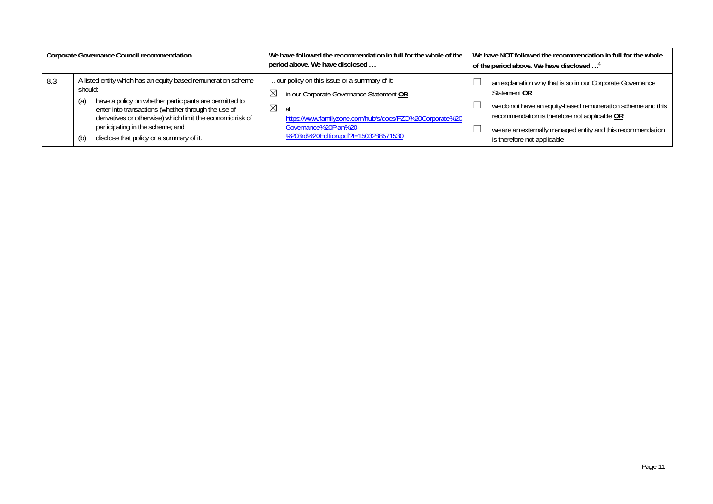|     | Corporate Governance Council recommendation                                                                                                                                                                                                                                                                                                           | We have followed the recommendation in full for the whole of the<br>period above. We have disclosed                                                                                                                                                       | We have NOT followed the recommendation in full for the whole<br>of the period above. We have disclosed <sup>4</sup>                                                                                                                                                                    |
|-----|-------------------------------------------------------------------------------------------------------------------------------------------------------------------------------------------------------------------------------------------------------------------------------------------------------------------------------------------------------|-----------------------------------------------------------------------------------------------------------------------------------------------------------------------------------------------------------------------------------------------------------|-----------------------------------------------------------------------------------------------------------------------------------------------------------------------------------------------------------------------------------------------------------------------------------------|
| 8.3 | A listed entity which has an equity-based remuneration scheme<br>should:<br>have a policy on whether participants are permitted to<br>(a)<br>enter into transactions (whether through the use of<br>derivatives or otherwise) which limit the economic risk of<br>participating in the scheme; and<br>disclose that policy or a summary of it.<br>(b) | our policy on this issue or a summary of it:<br>in our Corporate Governance Statement OR<br>$\boxtimes$<br>$\boxtimes$<br>at<br>https://www.familyzone.com/hubfs/docs/FZO%20Corporate%20<br>Governance%20Plan%20-<br>%203rd%20Edition.pdf?t=1503288571530 | an explanation why that is so in our Corporate Governance<br>Statement OR<br>we do not have an equity-based remuneration scheme and this<br>recommendation is therefore not applicable OR<br>we are an externally managed entity and this recommendation<br>is therefore not applicable |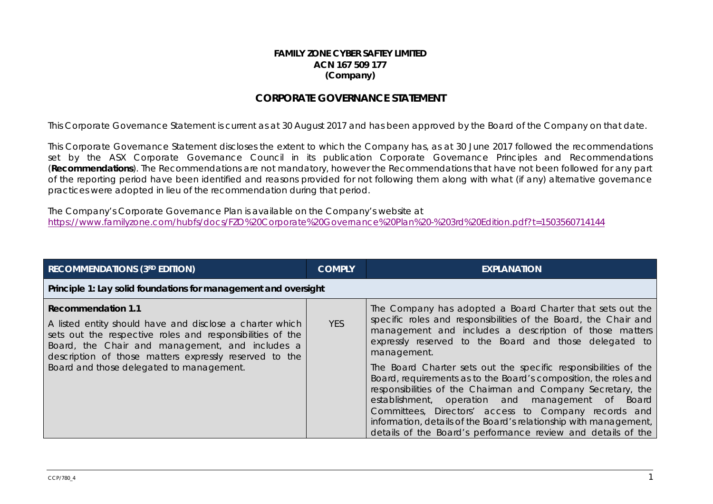#### **FAMILY ZONE CYBER SAFTEY LIMITED ACN 167 509 177 (Company)**

### **CORPORATE GOVERNANCE STATEMENT**

This Corporate Governance Statement is current as at 30 August 2017 and has been approved by the Board of the Company on that date.

This Corporate Governance Statement discloses the extent to which the Company has, as at 30 June 2017 followed the recommendations set by the ASX Corporate Governance Council in its publication Corporate Governance Principles and Recommendations (**Recommendations**). The Recommendations are not mandatory, however the Recommendations that have not been followed for any part of the reporting period have been identified and reasons provided for not following them along with what (if any) alternative governance practices were adopted in lieu of the recommendation during that period.

The Company's Corporate Governance Plan is available on the Company's website at <https://www.familyzone.com/hubfs/docs/FZO%20Corporate%20Governance%20Plan%20-%203rd%20Edition.pdf?t=1503560714144>

| <b>RECOMMENDATIONS (3RD EDITION)</b>                                                                                                                                                                                                                            | <b>COMPLY</b> | <b>EXPLANATION</b>                                                                                                                                                                                                                                                                                                                                                                                                                                          |
|-----------------------------------------------------------------------------------------------------------------------------------------------------------------------------------------------------------------------------------------------------------------|---------------|-------------------------------------------------------------------------------------------------------------------------------------------------------------------------------------------------------------------------------------------------------------------------------------------------------------------------------------------------------------------------------------------------------------------------------------------------------------|
| Principle 1: Lay solid foundations for management and oversight                                                                                                                                                                                                 |               |                                                                                                                                                                                                                                                                                                                                                                                                                                                             |
| <b>Recommendation 1.1</b><br>A listed entity should have and disclose a charter which<br>sets out the respective roles and responsibilities of the<br>Board, the Chair and management, and includes a<br>description of those matters expressly reserved to the | <b>YES</b>    | The Company has adopted a Board Charter that sets out the<br>specific roles and responsibilities of the Board, the Chair and<br>management and includes a description of those matters<br>expressly reserved to the Board and those delegated to<br>management.                                                                                                                                                                                             |
| Board and those delegated to management.                                                                                                                                                                                                                        |               | The Board Charter sets out the specific responsibilities of the<br>Board, requirements as to the Board's composition, the roles and<br>responsibilities of the Chairman and Company Secretary, the<br>establishment, operation and management<br>Board<br>of a<br>Committees, Directors' access to Company records and<br>information, details of the Board's relationship with management,<br>details of the Board's performance review and details of the |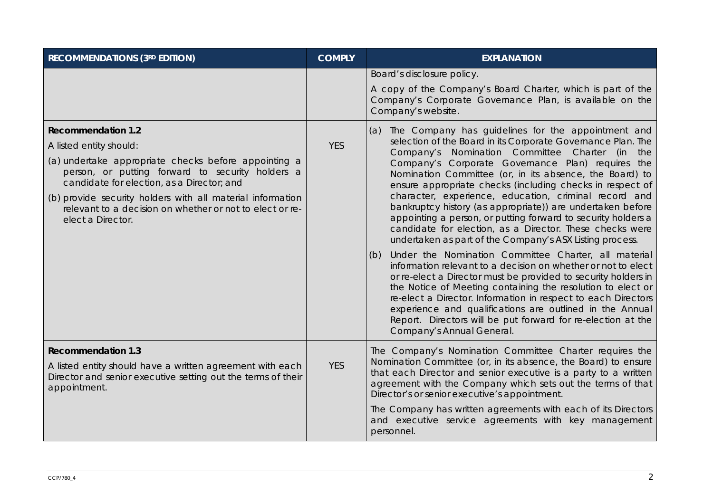| <b>RECOMMENDATIONS (3RD EDITION)</b>                                                                                                                                                                                                                                                                                                                          | <b>COMPLY</b> | <b>EXPLANATION</b>                                                                                                                                                                                                                                                                                                                                                                                                                                                                                                                                                                                                                                                                                                                                                                                                                                                                                                                                                                                                                                                                                                                        |
|---------------------------------------------------------------------------------------------------------------------------------------------------------------------------------------------------------------------------------------------------------------------------------------------------------------------------------------------------------------|---------------|-------------------------------------------------------------------------------------------------------------------------------------------------------------------------------------------------------------------------------------------------------------------------------------------------------------------------------------------------------------------------------------------------------------------------------------------------------------------------------------------------------------------------------------------------------------------------------------------------------------------------------------------------------------------------------------------------------------------------------------------------------------------------------------------------------------------------------------------------------------------------------------------------------------------------------------------------------------------------------------------------------------------------------------------------------------------------------------------------------------------------------------------|
|                                                                                                                                                                                                                                                                                                                                                               |               | Board's disclosure policy.<br>A copy of the Company's Board Charter, which is part of the<br>Company's Corporate Governance Plan, is available on the<br>Company's website.                                                                                                                                                                                                                                                                                                                                                                                                                                                                                                                                                                                                                                                                                                                                                                                                                                                                                                                                                               |
| <b>Recommendation 1.2</b><br>A listed entity should:<br>(a) undertake appropriate checks before appointing a<br>person, or putting forward to security holders a<br>candidate for election, as a Director; and<br>(b) provide security holders with all material information<br>relevant to a decision on whether or not to elect or re-<br>elect a Director. | <b>YES</b>    | The Company has guidelines for the appointment and<br>(a)<br>selection of the Board in its Corporate Governance Plan. The<br>Company's Nomination Committee Charter (in<br>the<br>Company's Corporate Governance Plan) requires the<br>Nomination Committee (or, in its absence, the Board) to<br>ensure appropriate checks (including checks in respect of<br>character, experience, education, criminal record and<br>bankruptcy history (as appropriate)) are undertaken before<br>appointing a person, or putting forward to security holders a<br>candidate for election, as a Director. These checks were<br>undertaken as part of the Company's ASX Listing process.<br>Under the Nomination Committee Charter, all material<br>(b)<br>information relevant to a decision on whether or not to elect<br>or re-elect a Director must be provided to security holders in<br>the Notice of Meeting containing the resolution to elect or<br>re-elect a Director. Information in respect to each Directors<br>experience and qualifications are outlined in the Annual<br>Report. Directors will be put forward for re-election at the |
|                                                                                                                                                                                                                                                                                                                                                               |               | Company's Annual General.                                                                                                                                                                                                                                                                                                                                                                                                                                                                                                                                                                                                                                                                                                                                                                                                                                                                                                                                                                                                                                                                                                                 |
| <b>Recommendation 1.3</b><br>A listed entity should have a written agreement with each<br>Director and senior executive setting out the terms of their<br>appointment.                                                                                                                                                                                        | <b>YES</b>    | The Company's Nomination Committee Charter requires the<br>Nomination Committee (or, in its absence, the Board) to ensure<br>that each Director and senior executive is a party to a written<br>agreement with the Company which sets out the terms of that<br>Director's or senior executive's appointment.                                                                                                                                                                                                                                                                                                                                                                                                                                                                                                                                                                                                                                                                                                                                                                                                                              |
|                                                                                                                                                                                                                                                                                                                                                               |               | The Company has written agreements with each of its Directors<br>and executive service agreements with key management<br>personnel.                                                                                                                                                                                                                                                                                                                                                                                                                                                                                                                                                                                                                                                                                                                                                                                                                                                                                                                                                                                                       |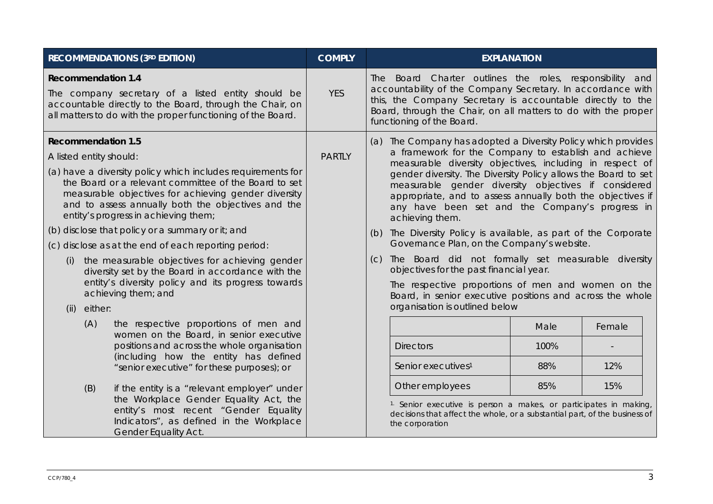|                                                      | <b>RECOMMENDATIONS (3RD EDITION)</b>                                                                                                                                                                                                                                       | <b>COMPLY</b> |                 | <b>EXPLANATION</b>                                                                                                                                                                                                                                                                                                                                                                                                                              |      |        |
|------------------------------------------------------|----------------------------------------------------------------------------------------------------------------------------------------------------------------------------------------------------------------------------------------------------------------------------|---------------|-----------------|-------------------------------------------------------------------------------------------------------------------------------------------------------------------------------------------------------------------------------------------------------------------------------------------------------------------------------------------------------------------------------------------------------------------------------------------------|------|--------|
| <b>Recommendation 1.4</b>                            | The company secretary of a listed entity should be<br>accountable directly to the Board, through the Chair, on<br>all matters to do with the proper functioning of the Board.                                                                                              | <b>YES</b>    |                 | The Board Charter outlines the roles, responsibility and<br>accountability of the Company Secretary. In accordance with<br>this, the Company Secretary is accountable directly to the<br>Board, through the Chair, on all matters to do with the proper<br>functioning of the Board.                                                                                                                                                            |      |        |
| <b>Recommendation 1.5</b><br>A listed entity should: | (a) have a diversity policy which includes requirements for<br>the Board or a relevant committee of the Board to set<br>measurable objectives for achieving gender diversity<br>and to assess annually both the objectives and the<br>entity's progress in achieving them; | <b>PARTLY</b> |                 | (a) The Company has adopted a Diversity Policy which provides<br>a framework for the Company to establish and achieve<br>measurable diversity objectives, including in respect of<br>gender diversity. The Diversity Policy allows the Board to set<br>measurable gender diversity objectives if considered<br>appropriate, and to assess annually both the objectives if<br>any have been set and the Company's progress in<br>achieving them. |      |        |
|                                                      | (b) disclose that policy or a summary or it; and<br>(c) disclose as at the end of each reporting period:                                                                                                                                                                   |               | (b)             | The Diversity Policy is available, as part of the Corporate<br>Governance Plan, on the Company's website.                                                                                                                                                                                                                                                                                                                                       |      |        |
| (i)<br>either:<br>(ii)                               | the measurable objectives for achieving gender<br>diversity set by the Board in accordance with the<br>entity's diversity policy and its progress towards<br>achieving them; and                                                                                           |               | (C)             | The Board did not formally set measurable diversity<br>objectives for the past financial year.<br>The respective proportions of men and women on the<br>Board, in senior executive positions and across the whole<br>organisation is outlined below                                                                                                                                                                                             |      |        |
| (A)                                                  | the respective proportions of men and<br>women on the Board, in senior executive                                                                                                                                                                                           |               |                 |                                                                                                                                                                                                                                                                                                                                                                                                                                                 | Male | Female |
|                                                      | positions and across the whole organisation                                                                                                                                                                                                                                |               |                 | <b>Directors</b>                                                                                                                                                                                                                                                                                                                                                                                                                                | 100% |        |
|                                                      | (including how the entity has defined<br>"senior executive" for these purposes); or                                                                                                                                                                                        |               |                 | Senior executives <sup>1</sup>                                                                                                                                                                                                                                                                                                                                                                                                                  | 88%  | 12%    |
| (B)<br>if the entity is a "relevant employer" under  |                                                                                                                                                                                                                                                                            |               | Other employees | 85%                                                                                                                                                                                                                                                                                                                                                                                                                                             | 15%  |        |
|                                                      | the Workplace Gender Equality Act, the<br>entity's most recent "Gender Equality<br>Indicators", as defined in the Workplace<br>Gender Equality Act.                                                                                                                        |               |                 | <sup>1.</sup> Senior executive is person a makes, or participates in making,<br>decisions that affect the whole, or a substantial part, of the business of<br>the corporation                                                                                                                                                                                                                                                                   |      |        |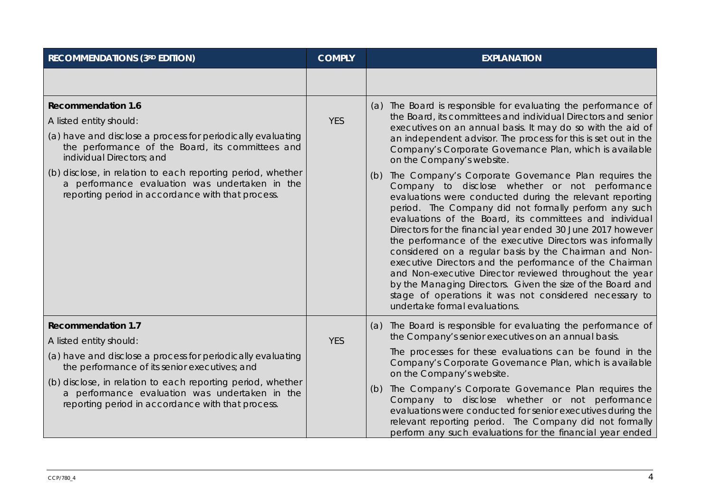| <b>RECOMMENDATIONS (3RD EDITION)</b>                                                                                                                               | <b>COMPLY</b> | <b>EXPLANATION</b>                                                                                                                                                                                                                                                                                                                                                                                                                                                                                                                                                                                                                                                                                                                                                 |
|--------------------------------------------------------------------------------------------------------------------------------------------------------------------|---------------|--------------------------------------------------------------------------------------------------------------------------------------------------------------------------------------------------------------------------------------------------------------------------------------------------------------------------------------------------------------------------------------------------------------------------------------------------------------------------------------------------------------------------------------------------------------------------------------------------------------------------------------------------------------------------------------------------------------------------------------------------------------------|
|                                                                                                                                                                    |               |                                                                                                                                                                                                                                                                                                                                                                                                                                                                                                                                                                                                                                                                                                                                                                    |
| <b>Recommendation 1.6</b>                                                                                                                                          |               | (a) The Board is responsible for evaluating the performance of                                                                                                                                                                                                                                                                                                                                                                                                                                                                                                                                                                                                                                                                                                     |
| A listed entity should:                                                                                                                                            | <b>YES</b>    | the Board, its committees and individual Directors and senior<br>executives on an annual basis. It may do so with the aid of                                                                                                                                                                                                                                                                                                                                                                                                                                                                                                                                                                                                                                       |
| (a) have and disclose a process for periodically evaluating<br>the performance of the Board, its committees and<br>individual Directors; and                       |               | an independent advisor. The process for this is set out in the<br>Company's Corporate Governance Plan, which is available<br>on the Company's website.                                                                                                                                                                                                                                                                                                                                                                                                                                                                                                                                                                                                             |
| (b) disclose, in relation to each reporting period, whether<br>a performance evaluation was undertaken in the<br>reporting period in accordance with that process. |               | The Company's Corporate Governance Plan requires the<br>(b)<br>Company to disclose whether or not performance<br>evaluations were conducted during the relevant reporting<br>period. The Company did not formally perform any such<br>evaluations of the Board, its committees and individual<br>Directors for the financial year ended 30 June 2017 however<br>the performance of the executive Directors was informally<br>considered on a regular basis by the Chairman and Non-<br>executive Directors and the performance of the Chairman<br>and Non-executive Director reviewed throughout the year<br>by the Managing Directors. Given the size of the Board and<br>stage of operations it was not considered necessary to<br>undertake formal evaluations. |
| <b>Recommendation 1.7</b><br>A listed entity should:                                                                                                               | <b>YES</b>    | (a) The Board is responsible for evaluating the performance of<br>the Company's senior executives on an annual basis.                                                                                                                                                                                                                                                                                                                                                                                                                                                                                                                                                                                                                                              |
| (a) have and disclose a process for periodically evaluating<br>the performance of its senior executives; and                                                       |               | The processes for these evaluations can be found in the<br>Company's Corporate Governance Plan, which is available<br>on the Company's website.                                                                                                                                                                                                                                                                                                                                                                                                                                                                                                                                                                                                                    |
| (b) disclose, in relation to each reporting period, whether<br>a performance evaluation was undertaken in the<br>reporting period in accordance with that process. |               | The Company's Corporate Governance Plan requires the<br>(b)<br>Company to disclose whether or not performance<br>evaluations were conducted for senior executives during the<br>relevant reporting period. The Company did not formally<br>perform any such evaluations for the financial year ended                                                                                                                                                                                                                                                                                                                                                                                                                                                               |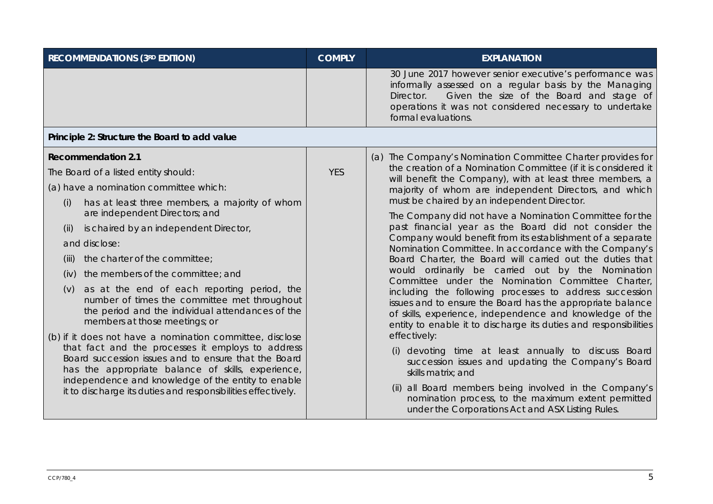| <b>RECOMMENDATIONS (3RD EDITION)</b>                                                                                                                                                                                                                                                                                                                                                                                                                                                                                                                                                                                                                                                                                                 | <b>COMPLY</b> | <b>EXPLANATION</b>                                                                                                                                                                                                                                                                                                                                                                                                                                                                                                                                                                                                                                                                                                                                                                                                                                                                                                                                                                                                                                                                                       |
|--------------------------------------------------------------------------------------------------------------------------------------------------------------------------------------------------------------------------------------------------------------------------------------------------------------------------------------------------------------------------------------------------------------------------------------------------------------------------------------------------------------------------------------------------------------------------------------------------------------------------------------------------------------------------------------------------------------------------------------|---------------|----------------------------------------------------------------------------------------------------------------------------------------------------------------------------------------------------------------------------------------------------------------------------------------------------------------------------------------------------------------------------------------------------------------------------------------------------------------------------------------------------------------------------------------------------------------------------------------------------------------------------------------------------------------------------------------------------------------------------------------------------------------------------------------------------------------------------------------------------------------------------------------------------------------------------------------------------------------------------------------------------------------------------------------------------------------------------------------------------------|
|                                                                                                                                                                                                                                                                                                                                                                                                                                                                                                                                                                                                                                                                                                                                      |               | 30 June 2017 however senior executive's performance was<br>informally assessed on a regular basis by the Managing<br>Given the size of the Board and stage of<br>Director.<br>operations it was not considered necessary to undertake<br>formal evaluations.                                                                                                                                                                                                                                                                                                                                                                                                                                                                                                                                                                                                                                                                                                                                                                                                                                             |
| Principle 2: Structure the Board to add value                                                                                                                                                                                                                                                                                                                                                                                                                                                                                                                                                                                                                                                                                        |               |                                                                                                                                                                                                                                                                                                                                                                                                                                                                                                                                                                                                                                                                                                                                                                                                                                                                                                                                                                                                                                                                                                          |
| <b>Recommendation 2.1</b><br>The Board of a listed entity should:<br>(a) have a nomination committee which:<br>has at least three members, a majority of whom<br>(i)<br>are independent Directors; and<br>is chaired by an independent Director,<br>(ii)<br>and disclose:<br>the charter of the committee;<br>(iii)<br>the members of the committee; and<br>(iv)<br>as at the end of each reporting period, the<br>(V)<br>number of times the committee met throughout<br>the period and the individual attendances of the<br>members at those meetings; or<br>(b) if it does not have a nomination committee, disclose<br>that fact and the processes it employs to address<br>Board succession issues and to ensure that the Board | <b>YES</b>    | (a) The Company's Nomination Committee Charter provides for<br>the creation of a Nomination Committee (if it is considered it<br>will benefit the Company), with at least three members, a<br>majority of whom are independent Directors, and which<br>must be chaired by an independent Director.<br>The Company did not have a Nomination Committee for the<br>past financial year as the Board did not consider the<br>Company would benefit from its establishment of a separate<br>Nomination Committee. In accordance with the Company's<br>Board Charter, the Board will carried out the duties that<br>would ordinarily be carried out by the Nomination<br>Committee under the Nomination Committee Charter,<br>including the following processes to address succession<br>issues and to ensure the Board has the appropriate balance<br>of skills, experience, independence and knowledge of the<br>entity to enable it to discharge its duties and responsibilities<br>effectively:<br>devoting time at least annually to discuss Board<br>succession issues and updating the Company's Board |
| has the appropriate balance of skills, experience,<br>independence and knowledge of the entity to enable<br>it to discharge its duties and responsibilities effectively.                                                                                                                                                                                                                                                                                                                                                                                                                                                                                                                                                             |               | skills matrix; and<br>(ii) all Board members being involved in the Company's<br>nomination process, to the maximum extent permitted<br>under the Corporations Act and ASX Listing Rules.                                                                                                                                                                                                                                                                                                                                                                                                                                                                                                                                                                                                                                                                                                                                                                                                                                                                                                                 |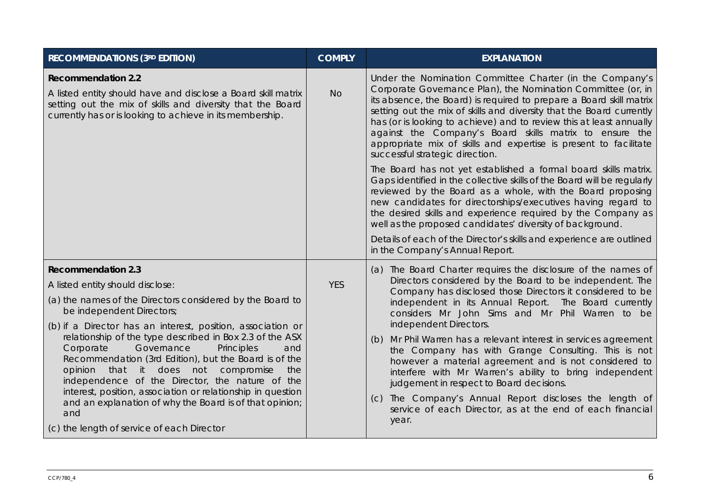| <b>RECOMMENDATIONS (3RD EDITION)</b>                                                                                                                                                                                                                                                                                                 | <b>COMPLY</b> | <b>EXPLANATION</b>                                                                                                                                                                                                                                                                                                                                                                                                                                                                                               |
|--------------------------------------------------------------------------------------------------------------------------------------------------------------------------------------------------------------------------------------------------------------------------------------------------------------------------------------|---------------|------------------------------------------------------------------------------------------------------------------------------------------------------------------------------------------------------------------------------------------------------------------------------------------------------------------------------------------------------------------------------------------------------------------------------------------------------------------------------------------------------------------|
| <b>Recommendation 2.2</b><br>A listed entity should have and disclose a Board skill matrix<br>setting out the mix of skills and diversity that the Board<br>currently has or is looking to achieve in its membership.                                                                                                                | <b>No</b>     | Under the Nomination Committee Charter (in the Company's<br>Corporate Governance Plan), the Nomination Committee (or, in<br>its absence, the Board) is required to prepare a Board skill matrix<br>setting out the mix of skills and diversity that the Board currently<br>has (or is looking to achieve) and to review this at least annually<br>against the Company's Board skills matrix to ensure the<br>appropriate mix of skills and expertise is present to facilitate<br>successful strategic direction. |
|                                                                                                                                                                                                                                                                                                                                      |               | The Board has not yet established a formal board skills matrix.<br>Gaps identified in the collective skills of the Board will be regularly<br>reviewed by the Board as a whole, with the Board proposing<br>new candidates for directorships/executives having regard to<br>the desired skills and experience required by the Company as<br>well as the proposed candidates' diversity of background.                                                                                                            |
|                                                                                                                                                                                                                                                                                                                                      |               | Details of each of the Director's skills and experience are outlined<br>in the Company's Annual Report.                                                                                                                                                                                                                                                                                                                                                                                                          |
| <b>Recommendation 2.3</b><br>A listed entity should disclose:<br>(a) the names of the Directors considered by the Board to<br>be independent Directors;<br>(b) if a Director has an interest, position, association or                                                                                                               | <b>YES</b>    | (a) The Board Charter requires the disclosure of the names of<br>Directors considered by the Board to be independent. The<br>Company has disclosed those Directors it considered to be<br>independent in its Annual Report. The Board currently<br>considers Mr John Sims and Mr Phil Warren to be<br>independent Directors.                                                                                                                                                                                     |
| relationship of the type described in Box 2.3 of the ASX<br>Governance<br>Principles<br>Corporate<br>and<br>Recommendation (3rd Edition), but the Board is of the<br>opinion that it does not<br>compromise<br>the<br>independence of the Director, the nature of the<br>interest, position, association or relationship in question |               | (b) Mr Phil Warren has a relevant interest in services agreement<br>the Company has with Grange Consulting. This is not<br>however a material agreement and is not considered to<br>interfere with Mr Warren's ability to bring independent<br>judgement in respect to Board decisions.                                                                                                                                                                                                                          |
| and an explanation of why the Board is of that opinion;<br>and<br>(c) the length of service of each Director                                                                                                                                                                                                                         |               | The Company's Annual Report discloses the length of<br>(C)<br>service of each Director, as at the end of each financial<br>year.                                                                                                                                                                                                                                                                                                                                                                                 |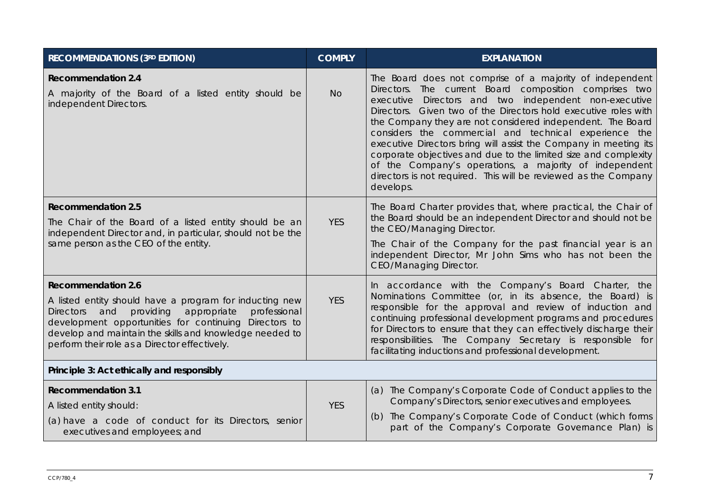| <b>RECOMMENDATIONS (3RD EDITION)</b>                                                                                                                                                                                                                                                                                             | <b>COMPLY</b> | <b>EXPLANATION</b>                                                                                                                                                                                                                                                                                                                                                                                                                                                                                                                                                                                                                                        |
|----------------------------------------------------------------------------------------------------------------------------------------------------------------------------------------------------------------------------------------------------------------------------------------------------------------------------------|---------------|-----------------------------------------------------------------------------------------------------------------------------------------------------------------------------------------------------------------------------------------------------------------------------------------------------------------------------------------------------------------------------------------------------------------------------------------------------------------------------------------------------------------------------------------------------------------------------------------------------------------------------------------------------------|
| <b>Recommendation 2.4</b><br>A majority of the Board of a listed entity should be<br>independent Directors.                                                                                                                                                                                                                      | <b>No</b>     | The Board does not comprise of a majority of independent<br>Directors. The current Board composition comprises two<br>Directors and two independent non-executive<br>executive<br>Directors. Given two of the Directors hold executive roles with<br>the Company they are not considered independent. The Board<br>considers the commercial and technical experience the<br>executive Directors bring will assist the Company in meeting its<br>corporate objectives and due to the limited size and complexity<br>of the Company's operations, a majority of independent<br>directors is not required. This will be reviewed as the Company<br>develops. |
| <b>Recommendation 2.5</b><br>The Chair of the Board of a listed entity should be an<br>independent Director and, in particular, should not be the<br>same person as the CEO of the entity.                                                                                                                                       | <b>YES</b>    | The Board Charter provides that, where practical, the Chair of<br>the Board should be an independent Director and should not be<br>the CEO/Managing Director.<br>The Chair of the Company for the past financial year is an<br>independent Director, Mr John Sims who has not been the<br><b>CEO/Managing Director.</b>                                                                                                                                                                                                                                                                                                                                   |
| <b>Recommendation 2.6</b><br>A listed entity should have a program for inducting new<br>and<br>providing<br>appropriate<br>professional<br><b>Directors</b><br>development opportunities for continuing Directors to<br>develop and maintain the skills and knowledge needed to<br>perform their role as a Director effectively. | <b>YES</b>    | In accordance with the Company's Board Charter, the<br>Nominations Committee (or, in its absence, the Board) is<br>responsible for the approval and review of induction and<br>continuing professional development programs and procedures<br>for Directors to ensure that they can effectively discharge their<br>responsibilities. The Company Secretary is responsible for<br>facilitating inductions and professional development.                                                                                                                                                                                                                    |
| Principle 3: Act ethically and responsibly                                                                                                                                                                                                                                                                                       |               |                                                                                                                                                                                                                                                                                                                                                                                                                                                                                                                                                                                                                                                           |
| <b>Recommendation 3.1</b><br>A listed entity should:<br>(a) have a code of conduct for its Directors, senior<br>executives and employees; and                                                                                                                                                                                    | <b>YES</b>    | (a) The Company's Corporate Code of Conduct applies to the<br>Company's Directors, senior executives and employees.<br>The Company's Corporate Code of Conduct (which forms<br>(b)<br>part of the Company's Corporate Governance Plan) is                                                                                                                                                                                                                                                                                                                                                                                                                 |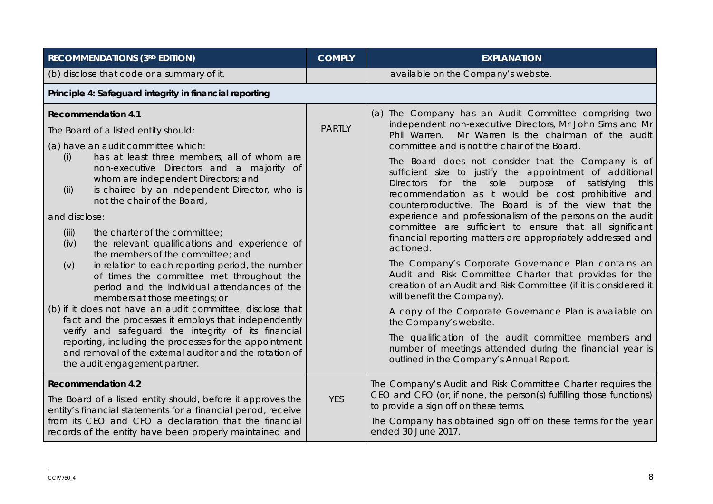| <b>RECOMMENDATIONS (3RD EDITION)</b>                                                                                                                                                                                                                                                                                                                                                                                                                                                                                                                                                                                                                                                                                                                                                                                                                                                                                                                                                                                          | <b>COMPLY</b> | <b>EXPLANATION</b>                                                                                                                                                                                                                                                                                                                                                                                                                                                                                                                                                                                                                                                                                                                                                                                                                                                                                                                                                                                                                                                                                                                                                                                        |
|-------------------------------------------------------------------------------------------------------------------------------------------------------------------------------------------------------------------------------------------------------------------------------------------------------------------------------------------------------------------------------------------------------------------------------------------------------------------------------------------------------------------------------------------------------------------------------------------------------------------------------------------------------------------------------------------------------------------------------------------------------------------------------------------------------------------------------------------------------------------------------------------------------------------------------------------------------------------------------------------------------------------------------|---------------|-----------------------------------------------------------------------------------------------------------------------------------------------------------------------------------------------------------------------------------------------------------------------------------------------------------------------------------------------------------------------------------------------------------------------------------------------------------------------------------------------------------------------------------------------------------------------------------------------------------------------------------------------------------------------------------------------------------------------------------------------------------------------------------------------------------------------------------------------------------------------------------------------------------------------------------------------------------------------------------------------------------------------------------------------------------------------------------------------------------------------------------------------------------------------------------------------------------|
| (b) disclose that code or a summary of it.                                                                                                                                                                                                                                                                                                                                                                                                                                                                                                                                                                                                                                                                                                                                                                                                                                                                                                                                                                                    |               | available on the Company's website.                                                                                                                                                                                                                                                                                                                                                                                                                                                                                                                                                                                                                                                                                                                                                                                                                                                                                                                                                                                                                                                                                                                                                                       |
| Principle 4: Safeguard integrity in financial reporting                                                                                                                                                                                                                                                                                                                                                                                                                                                                                                                                                                                                                                                                                                                                                                                                                                                                                                                                                                       |               |                                                                                                                                                                                                                                                                                                                                                                                                                                                                                                                                                                                                                                                                                                                                                                                                                                                                                                                                                                                                                                                                                                                                                                                                           |
| <b>Recommendation 4.1</b><br>The Board of a listed entity should:<br>(a) have an audit committee which:<br>has at least three members, all of whom are<br>(i)<br>non-executive Directors and a majority of<br>whom are independent Directors; and<br>is chaired by an independent Director, who is<br>(ii)<br>not the chair of the Board,<br>and disclose:<br>the charter of the committee;<br>(iii)<br>(iv)<br>the relevant qualifications and experience of<br>the members of the committee; and<br>in relation to each reporting period, the number<br>(v)<br>of times the committee met throughout the<br>period and the individual attendances of the<br>members at those meetings; or<br>(b) if it does not have an audit committee, disclose that<br>fact and the processes it employs that independently<br>verify and safeguard the integrity of its financial<br>reporting, including the processes for the appointment<br>and removal of the external auditor and the rotation of<br>the audit engagement partner. | <b>PARTLY</b> | (a) The Company has an Audit Committee comprising two<br>independent non-executive Directors, Mr John Sims and Mr<br>Mr Warren is the chairman of the audit<br>Phil Warren.<br>committee and is not the chair of the Board.<br>The Board does not consider that the Company is of<br>sufficient size to justify the appointment of additional<br>for the sole purpose of satisfying<br><b>Directors</b><br>this<br>recommendation as it would be cost prohibitive and<br>counterproductive. The Board is of the view that the<br>experience and professionalism of the persons on the audit<br>committee are sufficient to ensure that all significant<br>financial reporting matters are appropriately addressed and<br>actioned.<br>The Company's Corporate Governance Plan contains an<br>Audit and Risk Committee Charter that provides for the<br>creation of an Audit and Risk Committee (if it is considered it<br>will benefit the Company).<br>A copy of the Corporate Governance Plan is available on<br>the Company's website.<br>The qualification of the audit committee members and<br>number of meetings attended during the financial year is<br>outlined in the Company's Annual Report. |
| <b>Recommendation 4.2</b><br>The Board of a listed entity should, before it approves the<br>entity's financial statements for a financial period, receive<br>from its CEO and CFO a declaration that the financial<br>records of the entity have been properly maintained and                                                                                                                                                                                                                                                                                                                                                                                                                                                                                                                                                                                                                                                                                                                                                 | <b>YES</b>    | The Company's Audit and Risk Committee Charter requires the<br>CEO and CFO (or, if none, the person(s) fulfilling those functions)<br>to provide a sign off on these terms.<br>The Company has obtained sign off on these terms for the year<br>ended 30 June 2017.                                                                                                                                                                                                                                                                                                                                                                                                                                                                                                                                                                                                                                                                                                                                                                                                                                                                                                                                       |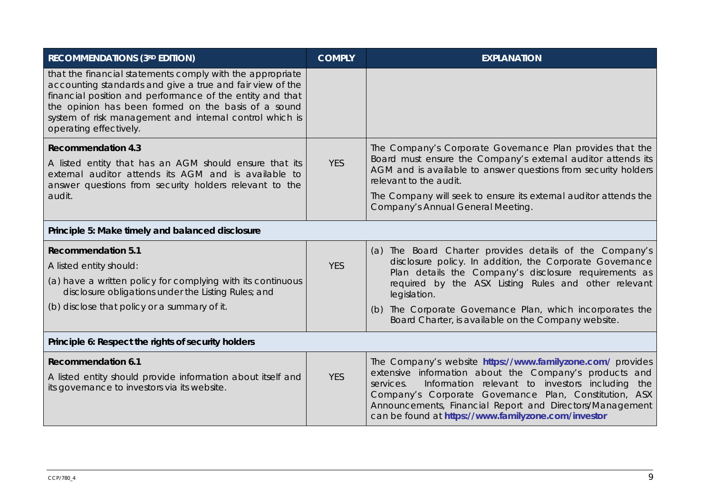| <b>RECOMMENDATIONS (3RD EDITION)</b>                                                                                                                                                                                                                                                                                            | <b>COMPLY</b>                                                                                                       | <b>EXPLANATION</b>                                                                                                                                                                                                                                                                                                                                                   |
|---------------------------------------------------------------------------------------------------------------------------------------------------------------------------------------------------------------------------------------------------------------------------------------------------------------------------------|---------------------------------------------------------------------------------------------------------------------|----------------------------------------------------------------------------------------------------------------------------------------------------------------------------------------------------------------------------------------------------------------------------------------------------------------------------------------------------------------------|
| that the financial statements comply with the appropriate<br>accounting standards and give a true and fair view of the<br>financial position and performance of the entity and that<br>the opinion has been formed on the basis of a sound<br>system of risk management and internal control which is<br>operating effectively. |                                                                                                                     |                                                                                                                                                                                                                                                                                                                                                                      |
| <b>Recommendation 4.3</b>                                                                                                                                                                                                                                                                                                       |                                                                                                                     | The Company's Corporate Governance Plan provides that the                                                                                                                                                                                                                                                                                                            |
| A listed entity that has an AGM should ensure that its<br>external auditor attends its AGM and is available to<br>answer questions from security holders relevant to the                                                                                                                                                        | <b>YES</b>                                                                                                          | Board must ensure the Company's external auditor attends its<br>AGM and is available to answer questions from security holders<br>relevant to the audit.                                                                                                                                                                                                             |
| audit.                                                                                                                                                                                                                                                                                                                          |                                                                                                                     | The Company will seek to ensure its external auditor attends the<br>Company's Annual General Meeting.                                                                                                                                                                                                                                                                |
| Principle 5: Make timely and balanced disclosure                                                                                                                                                                                                                                                                                |                                                                                                                     |                                                                                                                                                                                                                                                                                                                                                                      |
| <b>Recommendation 5.1</b>                                                                                                                                                                                                                                                                                                       |                                                                                                                     | (a) The Board Charter provides details of the Company's                                                                                                                                                                                                                                                                                                              |
| A listed entity should:                                                                                                                                                                                                                                                                                                         | <b>YES</b>                                                                                                          | disclosure policy. In addition, the Corporate Governance<br>Plan details the Company's disclosure requirements as                                                                                                                                                                                                                                                    |
| (a) have a written policy for complying with its continuous<br>disclosure obligations under the Listing Rules; and                                                                                                                                                                                                              |                                                                                                                     | required by the ASX Listing Rules and other relevant<br>legislation.                                                                                                                                                                                                                                                                                                 |
| (b) disclose that policy or a summary of it.                                                                                                                                                                                                                                                                                    | The Corporate Governance Plan, which incorporates the<br>(b)<br>Board Charter, is available on the Company website. |                                                                                                                                                                                                                                                                                                                                                                      |
| Principle 6: Respect the rights of security holders                                                                                                                                                                                                                                                                             |                                                                                                                     |                                                                                                                                                                                                                                                                                                                                                                      |
| <b>Recommendation 6.1</b><br>A listed entity should provide information about itself and<br>its governance to investors via its website.                                                                                                                                                                                        | <b>YES</b>                                                                                                          | The Company's website https://www.familyzone.com/ provides<br>extensive information about the Company's products and<br>Information relevant to investors including<br>services.<br>the<br>Company's Corporate Governance Plan, Constitution, ASX<br>Announcements, Financial Report and Directors/Management<br>can be found at https://www.familyzone.com/investor |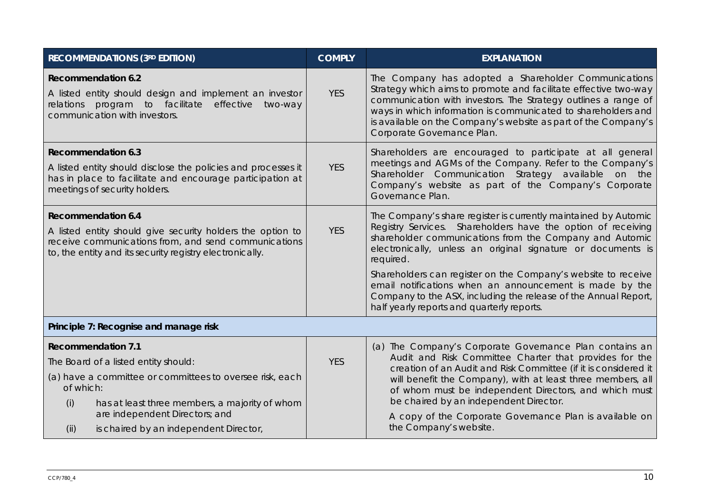| <b>RECOMMENDATIONS (3RD EDITION)</b>                                                                                                                                                                                                                                                    | <b>COMPLY</b> | <b>EXPLANATION</b>                                                                                                                                                                                                                                                                                                                                                                                                                                                                                                   |
|-----------------------------------------------------------------------------------------------------------------------------------------------------------------------------------------------------------------------------------------------------------------------------------------|---------------|----------------------------------------------------------------------------------------------------------------------------------------------------------------------------------------------------------------------------------------------------------------------------------------------------------------------------------------------------------------------------------------------------------------------------------------------------------------------------------------------------------------------|
| <b>Recommendation 6.2</b><br>A listed entity should design and implement an investor<br>relations program to facilitate effective<br>two-way<br>communication with investors.                                                                                                           | <b>YES</b>    | The Company has adopted a Shareholder Communications<br>Strategy which aims to promote and facilitate effective two-way<br>communication with investors. The Strategy outlines a range of<br>ways in which information is communicated to shareholders and<br>is available on the Company's website as part of the Company's<br>Corporate Governance Plan.                                                                                                                                                           |
| <b>Recommendation 6.3</b><br>A listed entity should disclose the policies and processes it<br>has in place to facilitate and encourage participation at<br>meetings of security holders.                                                                                                | <b>YES</b>    | Shareholders are encouraged to participate at all general<br>meetings and AGMs of the Company. Refer to the Company's<br>Shareholder Communication Strategy available on the<br>Company's website as part of the Company's Corporate<br>Governance Plan.                                                                                                                                                                                                                                                             |
| <b>Recommendation 6.4</b><br>A listed entity should give security holders the option to<br>receive communications from, and send communications<br>to, the entity and its security registry electronically.                                                                             | <b>YES</b>    | The Company's share register is currently maintained by Automic<br>Registry Services. Shareholders have the option of receiving<br>shareholder communications from the Company and Automic<br>electronically, unless an original signature or documents is<br>required.<br>Shareholders can register on the Company's website to receive<br>email notifications when an announcement is made by the<br>Company to the ASX, including the release of the Annual Report,<br>half yearly reports and quarterly reports. |
| Principle 7: Recognise and manage risk                                                                                                                                                                                                                                                  |               |                                                                                                                                                                                                                                                                                                                                                                                                                                                                                                                      |
| <b>Recommendation 7.1</b><br>The Board of a listed entity should:<br>(a) have a committee or committees to oversee risk, each<br>of which:<br>has at least three members, a majority of whom<br>(i)<br>are independent Directors; and<br>(ii)<br>is chaired by an independent Director, | <b>YES</b>    | (a) The Company's Corporate Governance Plan contains an<br>Audit and Risk Committee Charter that provides for the<br>creation of an Audit and Risk Committee (if it is considered it<br>will benefit the Company), with at least three members, all<br>of whom must be independent Directors, and which must<br>be chaired by an independent Director.<br>A copy of the Corporate Governance Plan is available on<br>the Company's website.                                                                          |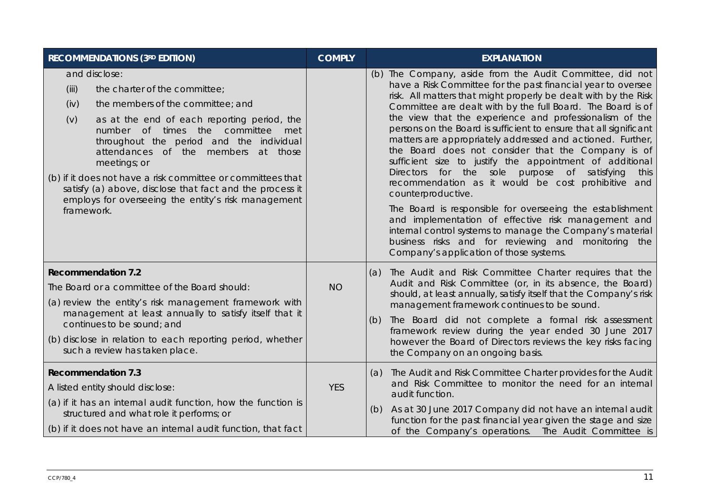| <b>RECOMMENDATIONS (3RD EDITION)</b>                                                                                                                                                                                                                                                                                                                                                                                                                                                                     | <b>COMPLY</b> | <b>EXPLANATION</b>                                                                                                                                                                                                                                                                                                                                                                                                                                                                                                                                                                                                                                                                                                                                                                                                                                                                                                                                                                                |
|----------------------------------------------------------------------------------------------------------------------------------------------------------------------------------------------------------------------------------------------------------------------------------------------------------------------------------------------------------------------------------------------------------------------------------------------------------------------------------------------------------|---------------|---------------------------------------------------------------------------------------------------------------------------------------------------------------------------------------------------------------------------------------------------------------------------------------------------------------------------------------------------------------------------------------------------------------------------------------------------------------------------------------------------------------------------------------------------------------------------------------------------------------------------------------------------------------------------------------------------------------------------------------------------------------------------------------------------------------------------------------------------------------------------------------------------------------------------------------------------------------------------------------------------|
| and disclose:<br>(iii)<br>the charter of the committee;<br>(iv)<br>the members of the committee; and<br>(v)<br>as at the end of each reporting period, the<br>number of times the committee<br>met<br>throughout the period and the individual<br>attendances of the members<br>at those<br>meetings; or<br>(b) if it does not have a risk committee or committees that<br>satisfy (a) above, disclose that fact and the process it<br>employs for overseeing the entity's risk management<br>framework. |               | (b) The Company, aside from the Audit Committee, did not<br>have a Risk Committee for the past financial year to oversee<br>risk. All matters that might properly be dealt with by the Risk<br>Committee are dealt with by the full Board. The Board is of<br>the view that the experience and professionalism of the<br>persons on the Board is sufficient to ensure that all significant<br>matters are appropriately addressed and actioned. Further,<br>the Board does not consider that the Company is of<br>sufficient size to justify the appointment of additional<br>Directors for the sole purpose of satisfying<br>this<br>recommendation as it would be cost prohibitive and<br>counterproductive.<br>The Board is responsible for overseeing the establishment<br>and implementation of effective risk management and<br>internal control systems to manage the Company's material<br>business risks and for reviewing and monitoring the<br>Company's application of those systems. |
| <b>Recommendation 7.2</b><br>The Board or a committee of the Board should:<br>(a) review the entity's risk management framework with<br>management at least annually to satisfy itself that it<br>continues to be sound; and<br>(b) disclose in relation to each reporting period, whether<br>such a review has taken place.                                                                                                                                                                             | <b>NO</b>     | The Audit and Risk Committee Charter requires that the<br>(a)<br>Audit and Risk Committee (or, in its absence, the Board)<br>should, at least annually, satisfy itself that the Company's risk<br>management framework continues to be sound.<br>The Board did not complete a formal risk assessment<br>(b)<br>framework review during the year ended 30 June 2017<br>however the Board of Directors reviews the key risks facing<br>the Company on an ongoing basis.                                                                                                                                                                                                                                                                                                                                                                                                                                                                                                                             |
| <b>Recommendation 7.3</b><br>A listed entity should disclose:<br>(a) if it has an internal audit function, how the function is<br>structured and what role it performs; or<br>(b) if it does not have an internal audit function, that fact                                                                                                                                                                                                                                                              | <b>YES</b>    | The Audit and Risk Committee Charter provides for the Audit<br>(a)<br>and Risk Committee to monitor the need for an internal<br>audit function.<br>As at 30 June 2017 Company did not have an internal audit<br>(b)<br>function for the past financial year given the stage and size<br>of the Company's operations. The Audit Committee is                                                                                                                                                                                                                                                                                                                                                                                                                                                                                                                                                                                                                                                       |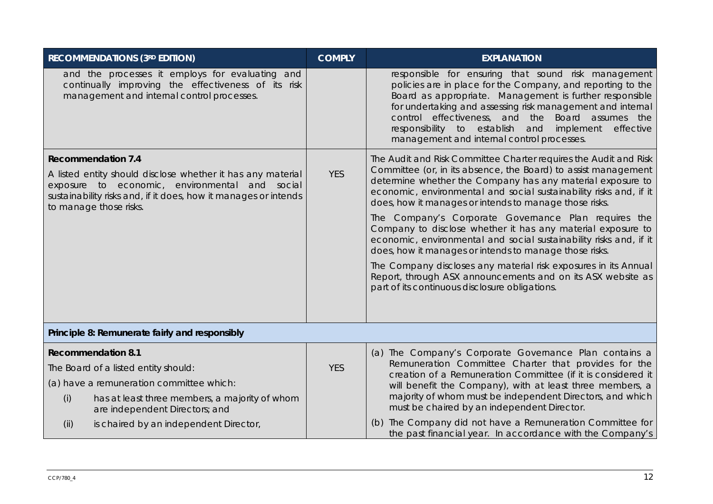| <b>RECOMMENDATIONS (3RD EDITION)</b>                                                                                                                                                                                                    | <b>COMPLY</b> | <b>EXPLANATION</b>                                                                                                                                                                                                                                                                                                                                                                                         |
|-----------------------------------------------------------------------------------------------------------------------------------------------------------------------------------------------------------------------------------------|---------------|------------------------------------------------------------------------------------------------------------------------------------------------------------------------------------------------------------------------------------------------------------------------------------------------------------------------------------------------------------------------------------------------------------|
| and the processes it employs for evaluating and<br>continually improving the effectiveness of its risk<br>management and internal control processes.                                                                                    |               | responsible for ensuring that sound risk management<br>policies are in place for the Company, and reporting to the<br>Board as appropriate. Management is further responsible<br>for undertaking and assessing risk management and internal<br>control effectiveness, and the Board assumes the<br>responsibility to establish and<br>implement<br>effective<br>management and internal control processes. |
| <b>Recommendation 7.4</b><br>A listed entity should disclose whether it has any material<br>exposure to economic, environmental and social<br>sustainability risks and, if it does, how it manages or intends<br>to manage those risks. | <b>YES</b>    | The Audit and Risk Committee Charter requires the Audit and Risk<br>Committee (or, in its absence, the Board) to assist management<br>determine whether the Company has any material exposure to<br>economic, environmental and social sustainability risks and, if it<br>does, how it manages or intends to manage those risks.                                                                           |
|                                                                                                                                                                                                                                         |               | The Company's Corporate Governance Plan requires the<br>Company to disclose whether it has any material exposure to<br>economic, environmental and social sustainability risks and, if it<br>does, how it manages or intends to manage those risks.                                                                                                                                                        |
|                                                                                                                                                                                                                                         |               | The Company discloses any material risk exposures in its Annual<br>Report, through ASX announcements and on its ASX website as<br>part of its continuous disclosure obligations.                                                                                                                                                                                                                           |
| Principle 8: Remunerate fairly and responsibly                                                                                                                                                                                          |               |                                                                                                                                                                                                                                                                                                                                                                                                            |
| <b>Recommendation 8.1</b>                                                                                                                                                                                                               |               | (a) The Company's Corporate Governance Plan contains a                                                                                                                                                                                                                                                                                                                                                     |
| The Board of a listed entity should:                                                                                                                                                                                                    | <b>YES</b>    | Remuneration Committee Charter that provides for the                                                                                                                                                                                                                                                                                                                                                       |
| (a) have a remuneration committee which:                                                                                                                                                                                                |               | creation of a Remuneration Committee (if it is considered it<br>will benefit the Company), with at least three members, a                                                                                                                                                                                                                                                                                  |
| (i)<br>has at least three members, a majority of whom<br>are independent Directors; and                                                                                                                                                 |               | majority of whom must be independent Directors, and which<br>must be chaired by an independent Director.                                                                                                                                                                                                                                                                                                   |
| is chaired by an independent Director,<br>(ii)                                                                                                                                                                                          |               | (b) The Company did not have a Remuneration Committee for<br>the past financial year. In accordance with the Company's                                                                                                                                                                                                                                                                                     |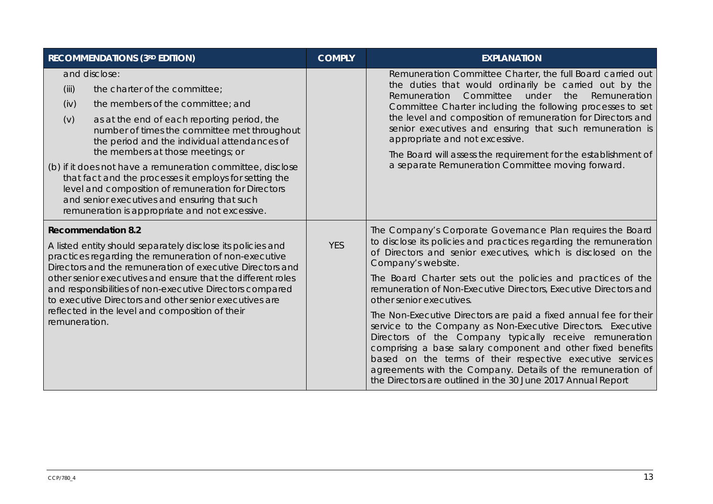| <b>RECOMMENDATIONS (3RD EDITION)</b>                                                                                                                                                                                                                                                                                                                                                                                                                                                                                                                                             | <b>COMPLY</b> | <b>EXPLANATION</b>                                                                                                                                                                                                                                                                                                                                                                                                                                                                                                                                                                                                                                                                                                                                                                                                                                |
|----------------------------------------------------------------------------------------------------------------------------------------------------------------------------------------------------------------------------------------------------------------------------------------------------------------------------------------------------------------------------------------------------------------------------------------------------------------------------------------------------------------------------------------------------------------------------------|---------------|---------------------------------------------------------------------------------------------------------------------------------------------------------------------------------------------------------------------------------------------------------------------------------------------------------------------------------------------------------------------------------------------------------------------------------------------------------------------------------------------------------------------------------------------------------------------------------------------------------------------------------------------------------------------------------------------------------------------------------------------------------------------------------------------------------------------------------------------------|
| and disclose:<br>(iii)<br>the charter of the committee;<br>the members of the committee; and<br>(iv)<br>as at the end of each reporting period, the<br>(v)<br>number of times the committee met throughout<br>the period and the individual attendances of<br>the members at those meetings; or<br>(b) if it does not have a remuneration committee, disclose<br>that fact and the processes it employs for setting the<br>level and composition of remuneration for Directors<br>and senior executives and ensuring that such<br>remuneration is appropriate and not excessive. |               | Remuneration Committee Charter, the full Board carried out<br>the duties that would ordinarily be carried out by the<br>Committee<br>under<br>the<br>Remuneration<br>Remuneration<br>Committee Charter including the following processes to set<br>the level and composition of remuneration for Directors and<br>senior executives and ensuring that such remuneration is<br>appropriate and not excessive.<br>The Board will assess the requirement for the establishment of<br>a separate Remuneration Committee moving forward.                                                                                                                                                                                                                                                                                                               |
| <b>Recommendation 8.2</b><br>A listed entity should separately disclose its policies and<br>practices regarding the remuneration of non-executive<br>Directors and the remuneration of executive Directors and<br>other senior executives and ensure that the different roles<br>and responsibilities of non-executive Directors compared<br>to executive Directors and other senior executives are<br>reflected in the level and composition of their<br>remuneration.                                                                                                          | <b>YES</b>    | The Company's Corporate Governance Plan requires the Board<br>to disclose its policies and practices regarding the remuneration<br>of Directors and senior executives, which is disclosed on the<br>Company's website.<br>The Board Charter sets out the policies and practices of the<br>remuneration of Non-Executive Directors, Executive Directors and<br>other senior executives.<br>The Non-Executive Directors are paid a fixed annual fee for their<br>service to the Company as Non-Executive Directors. Executive<br>Directors of the Company typically receive remuneration<br>comprising a base salary component and other fixed benefits<br>based on the terms of their respective executive services<br>agreements with the Company. Details of the remuneration of<br>the Directors are outlined in the 30 June 2017 Annual Report |